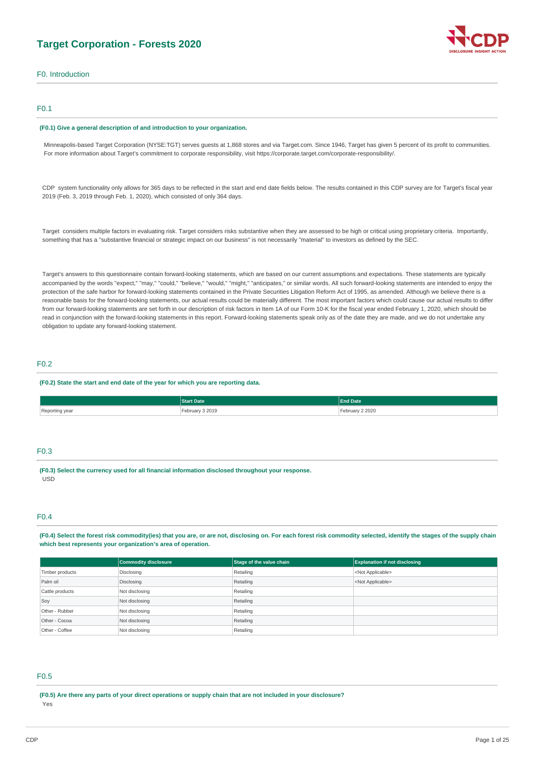# **Target Corporation - Forests 2020**



F0. Introduction

### F0.1

#### **(F0.1) Give a general description of and introduction to your organization.**

Minneapolis-based Target Corporation (NYSE:TGT) serves guests at 1,868 stores and via [Target.com.](http://Target.com) Since 1946, Target has given 5 percent of its profit to communities. For more information about Target's commitment to corporate responsibility, visit <https://corporate.target.com/corporate-responsibility/>.

CDP system functionality only allows for 365 days to be reflected in the start and end date fields below. The results contained in this CDP survey are for Target's fiscal year 2019 (Feb. 3, 2019 through Feb. 1, 2020), which consisted of only 364 days.

Target considers multiple factors in evaluating risk. Target considers risks substantive when they are assessed to be high or critical using proprietary criteria. Importantly, something that has a "substantive financial or strategic impact on our business" is not necessarily "material" to investors as defined by the SEC.

Target's answers to this questionnaire contain forward-looking statements, which are based on our current assumptions and expectations. These statements are typically accompanied by the words "expect," "may," "could," "believe," "would," "might," "anticipates," or similar words. All such forward-looking statements are intended to enjoy the protection of the safe harbor for forward-looking statements contained in the Private Securities Litigation Reform Act of 1995, as amended. Although we believe there is a reasonable basis for the forward-looking statements, our actual results could be materially different. The most important factors which could cause our actual results to differ from our forward-looking statements are set forth in our description of risk factors in Item 1A of our Form 10-K for the fiscal year ended February 1, 2020, which should be read in conjunction with the forward-looking statements in this report. Forward-looking statements speak only as of the date they are made, and we do not undertake any obligation to update any forward-looking statement.

### F0.2

#### **(F0.2) State the start and end date of the year for which you are reporting data.**

|                | <b>Start Date</b>       | <b>End Date</b>       |
|----------------|-------------------------|-----------------------|
| Reporting year | ebruary 3 2019<br>----- | ebruary 2 2020<br>___ |

### F0.3

**(F0.3) Select the currency used for all financial information disclosed throughout your response.**  USD

### F0.4

**(F0.4) Select the forest risk commodity(ies) that you are, or are not, disclosing on. For each forest risk commodity selected, identify the stages of the supply chain which best represents your organization's area of operation.** 

|                 | Commodity disclosure | Stage of the value chain | <b>Explanation if not disclosing</b> |
|-----------------|----------------------|--------------------------|--------------------------------------|
| Timber products | Disclosing           | Retailing                | <not applicable=""></not>            |
| Palm oil        | Disclosing           | Retailing                | <not applicable=""></not>            |
| Cattle products | Not disclosing       | Retailing                |                                      |
| Soy             | Not disclosing       | Retailing                |                                      |
| Other - Rubber  | Not disclosing       | Retailing                |                                      |
| Other - Cocoa   | Not disclosing       | Retailing                |                                      |
| Other - Coffee  | Not disclosing       | Retailing                |                                      |

# F0.5

**(F0.5) Are there any parts of your direct operations or supply chain that are not included in your disclosure?**  Yes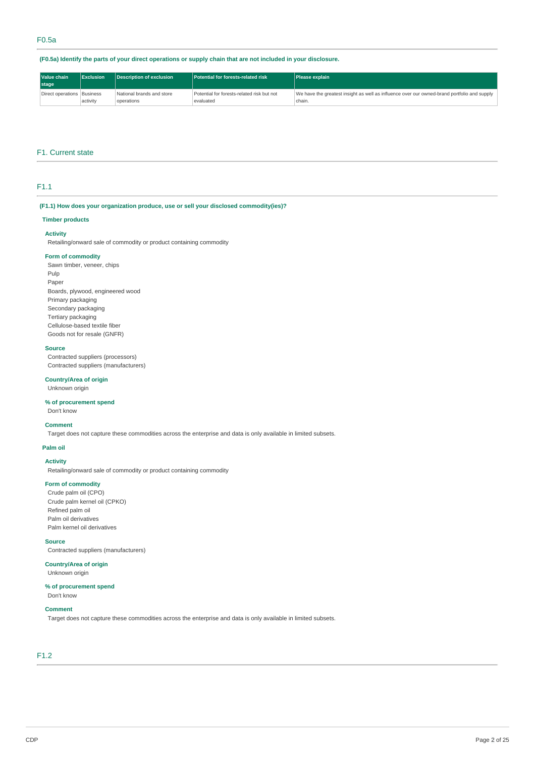### **(F0.5a) Identify the parts of your direct operations or supply chain that are not included in your disclosure.**

| Value chain<br>stage         | Exclusion | Description of exclusion                | Potential for forests-related risk                      | <b>Please explain</b>                                                                                 |
|------------------------------|-----------|-----------------------------------------|---------------------------------------------------------|-------------------------------------------------------------------------------------------------------|
| Direct operations   Business | activity  | National brands and store<br>operations | Potential for forests-related risk but not<br>evaluated | We have the greatest insight as well as influence over our owned-brand portfolio and supply<br>chain. |

### F1. Current state

### F1.1

### **(F1.1) How does your organization produce, use or sell your disclosed commodity(ies)?**

### **Timber products**

### **Activity**

Retailing/onward sale of commodity or product containing commodity

#### **Form of commodity**

Sawn timber, veneer, chips Pulp Paper Boards, plywood, engineered wood Primary packaging Secondary packaging Tertiary packaging Cellulose-based textile fiber Goods not for resale (GNFR)

### **Source**

Contracted suppliers (processors) Contracted suppliers (manufacturers)

### **Country/Area of origin**

Unknown origin

### **% of procurement spend**

Don't know

#### **Comment**

Target does not capture these commodities across the enterprise and data is only available in limited subsets.

#### **Palm oil**

**Activity** 

Retailing/onward sale of commodity or product containing commodity

### **Form of commodity**

Crude palm oil (CPO) Crude palm kernel oil (CPKO) Refined palm oil Palm oil derivatives Palm kernel oil derivatives

#### **Source**

Contracted suppliers (manufacturers)

### **Country/Area of origin**

Unknown origin

# **% of procurement spend**

Don't know

### **Comment**

Target does not capture these commodities across the enterprise and data is only available in limited subsets.

# F1.2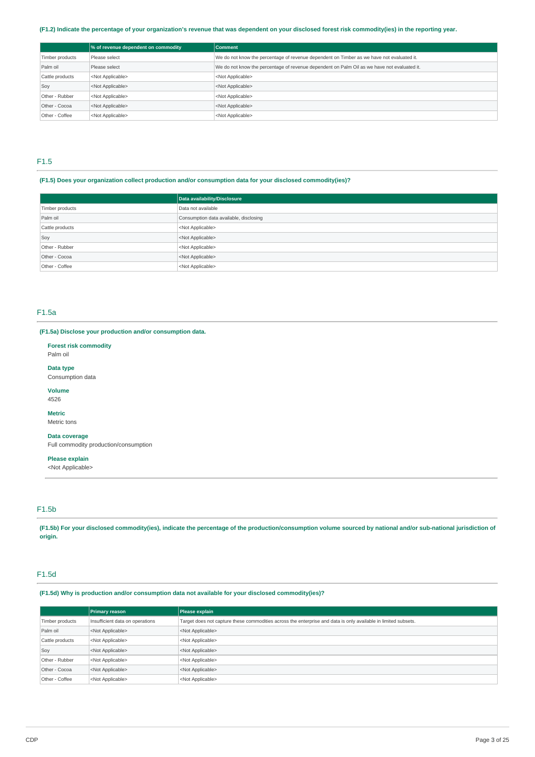### **(F1.2) Indicate the percentage of your organization's revenue that was dependent on your disclosed forest risk commodity(ies) in the reporting year.**

|                 | % of revenue dependent on commodity | <b>Comment</b>                                                                              |
|-----------------|-------------------------------------|---------------------------------------------------------------------------------------------|
| Timber products | Please select                       | We do not know the percentage of revenue dependent on Timber as we have not evaluated it.   |
| Palm oil        | Please select                       | We do not know the percentage of revenue dependent on Palm Oil as we have not evaluated it. |
| Cattle products | <not applicable=""></not>           | <not applicable=""></not>                                                                   |
| Soy             | <not applicable=""></not>           | <not applicable=""></not>                                                                   |
| Other - Rubber  | <not applicable=""></not>           | <not applicable=""></not>                                                                   |
| Other - Cocoa   | <not applicable=""></not>           | <not applicable=""></not>                                                                   |
| Other - Coffee  | <not applicable=""></not>           | <not applicable=""></not>                                                                   |

### F1.5

### **(F1.5) Does your organization collect production and/or consumption data for your disclosed commodity(ies)?**

|                 | Data availability/Disclosure           |
|-----------------|----------------------------------------|
| Timber products | Data not available                     |
| Palm oil        | Consumption data available, disclosing |
| Cattle products | <not applicable=""></not>              |
| Soy             | <not applicable=""></not>              |
| Other - Rubber  | <not applicable=""></not>              |
| Other - Cocoa   | <not applicable=""></not>              |
| Other - Coffee  | <not applicable=""></not>              |

### F1.5a

### **(F1.5a) Disclose your production and/or consumption data.**

**Forest risk commodity**  Palm oil

**Data type** 

Consumption data

**Volume**  4526

**Metric** 

Metric tons

**Data coverage**  Full commodity production/consumption

**Please explain** 

<Not Applicable>

# F1.5b

**(F1.5b) For your disclosed commodity(ies), indicate the percentage of the production/consumption volume sourced by national and/or sub-national jurisdiction of origin.** 

### F1.5d

**(F1.5d) Why is production and/or consumption data not available for your disclosed commodity(ies)?** 

|                 | <b>Primary reason</b>           | Please explain                                                                                                 |
|-----------------|---------------------------------|----------------------------------------------------------------------------------------------------------------|
| Timber products | Insufficient data on operations | Target does not capture these commodities across the enterprise and data is only available in limited subsets. |
| Palm oil        | <not applicable=""></not>       | <not applicable=""></not>                                                                                      |
| Cattle products | <not applicable=""></not>       | <not applicable=""></not>                                                                                      |
| Soy             | <not applicable=""></not>       | <not applicable=""></not>                                                                                      |
| Other - Rubber  | <not applicable=""></not>       | <not applicable=""></not>                                                                                      |
| Other - Cocoa   | <not applicable=""></not>       | <not applicable=""></not>                                                                                      |
| Other - Coffee  | <not applicable=""></not>       | <not applicable=""></not>                                                                                      |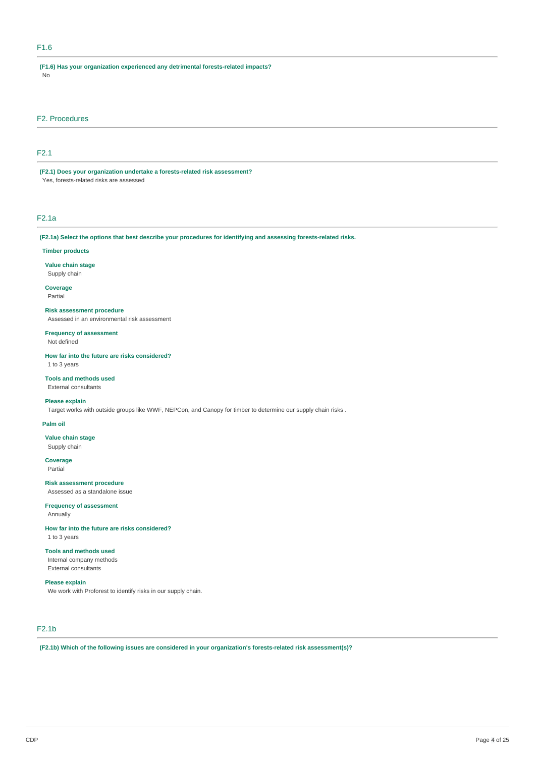### F1.6

**(F1.6) Has your organization experienced any detrimental forests-related impacts?**  No

### F2. Procedures

### F2.1

**(F2.1) Does your organization undertake a forests-related risk assessment?**  Yes, forests-related risks are assessed

### F2.1a

**(F2.1a) Select the options that best describe your procedures for identifying and assessing forests-related risks.** 

#### **Timber products**

**Value chain stage**  Supply chain

# **Coverage**

Partial

### **Risk assessment procedure**

Assessed in an environmental risk assessment

**Frequency of assessment** 

Not defined

**How far into the future are risks considered?**  1 to 3 years

**Tools and methods used** 

#### External consultants

**Please explain** 

Target works with outside groups like WWF, NEPCon, and Canopy for timber to determine our supply chain risks .

### **Palm oil**

**Value chain stage**  Supply chain

**Coverage**  Partial

#### **Risk assessment procedure**

Assessed as a standalone issue

**Frequency of assessment**  Annually

**How far into the future are risks considered?**  1 to 3 years

### **Tools and methods used**

Internal company methods External consultants

### **Please explain**

We work with Proforest to identify risks in our supply chain.

# F2.1b

**(F2.1b) Which of the following issues are considered in your organization's forests-related risk assessment(s)?**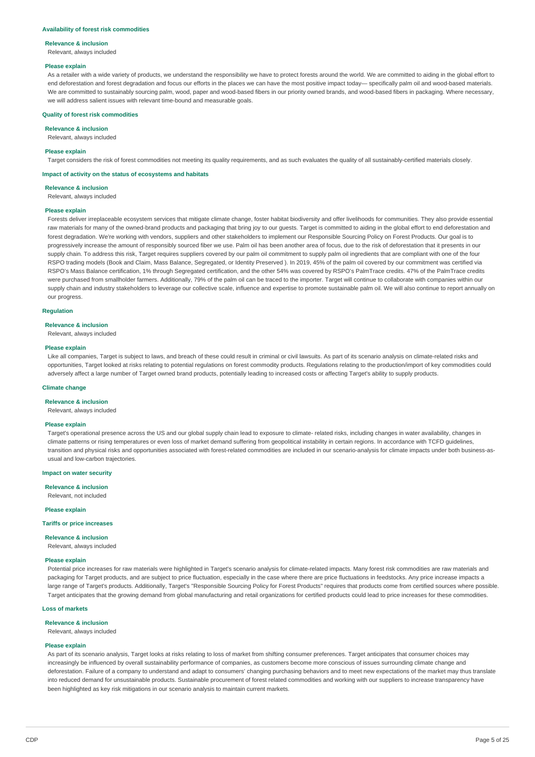#### **Availability of forest risk commodities**

#### **Relevance & inclusion**

Relevant, always included

#### **Please explain**

As a retailer with a wide variety of products, we understand the responsibility we have to protect forests around the world. We are committed to aiding in the global effort to end deforestation and forest degradation and focus our efforts in the places we can have the most positive impact today— specifically palm oil and wood-based materials. We are committed to sustainably sourcing palm, wood, paper and wood-based fibers in our priority owned brands, and wood-based fibers in packaging. Where necessary, we will address salient issues with relevant time-bound and measurable goals.

#### **Quality of forest risk commodities**

**Relevance & inclusion** 

Relevant, always included

#### **Please explain**

Target considers the risk of forest commodities not meeting its quality requirements, and as such evaluates the quality of all sustainably-certified materials closely.

#### **Impact of activity on the status of ecosystems and habitats**

**Relevance & inclusion** 

Relevant, always included

#### **Please explain**

Forests deliver irreplaceable ecosystem services that mitigate climate change, foster habitat biodiversity and offer livelihoods for communities. They also provide essential raw materials for many of the owned-brand products and packaging that bring joy to our quests. Target is committed to aiding in the global effort to end deforestation and forest degradation. We're working with vendors, suppliers and other stakeholders to implement our Responsible Sourcing Policy on Forest Products. Our goal is to progressively increase the amount of responsibly sourced fiber we use. Palm oil has been another area of focus, due to the risk of deforestation that it presents in our supply chain. To address this risk, Target requires suppliers covered by our palm oil commitment to supply palm oil ingredients that are compliant with one of the four RSPO trading models (Book and Claim, Mass Balance, Segregated, or Identity Preserved ). In 2019, 45% of the palm oil covered by our commitment was certified via RSPO's Mass Balance certification, 1% through Segregated certification, and the other 54% was covered by RSPO's PalmTrace credits, 47% of the PalmTrace credits were purchased from smallholder farmers. Additionally, 79% of the palm oil can be traced to the importer. Target will continue to collaborate with companies within our supply chain and industry stakeholders to leverage our collective scale, influence and expertise to promote sustainable palm oil. We will also continue to report annually on our progress.

### **Regulation**

#### **Relevance & inclusion**

Relevant, always included

#### **Please explain**

Like all companies. Target is subject to laws, and breach of these could result in criminal or civil lawsuits. As part of its scenario analysis on climate-related risks and opportunities, Target looked at risks relating to potential regulations on forest commodity products. Regulations relating to the production/import of key commodities could adversely affect a large number of Target owned brand products, potentially leading to increased costs or affecting Target's ability to supply products.

#### **Climate change**

### **Relevance & inclusion**

Relevant, always included

#### **Please explain**

Target's operational presence across the US and our global supply chain lead to exposure to climate- related risks, including changes in water availability, changes in climate patterns or rising temperatures or even loss of market demand suffering from geopolitical instability in certain regions. In accordance with TCFD guidelines, transition and physical risks and opportunities associated with forest-related commodities are included in our scenario-analysis for climate impacts under both business-asusual and low-carbon trajectories.

#### **Impact on water security**

**Relevance & inclusion**  Relevant, not included

#### **Please explain**

#### **Tariffs or price increases**

**Relevance & inclusion** 

### Relevant, always included

### **Please explain**

Potential price increases for raw materials were highlighted in Target's scenario analysis for climate-related impacts. Many forest risk commodities are raw materials and packaging for Target products, and are subject to price fluctuation, especially in the case where there are price fluctuations in feedstocks. Any price increase impacts a large range of Target's products. Additionally, Target's "Responsible Sourcing Policy for Forest Products" requires that products come from certified sources where possible. Target anticipates that the growing demand from global manufacturing and retail organizations for certified products could lead to price increases for these commodities.

#### **Loss of markets**

### **Relevance & inclusion**

Relevant, always included

#### **Please explain**

As part of its scenario analysis, Target looks at risks relating to loss of market from shifting consumer preferences. Target anticipates that consumer choices may increasingly be influenced by overall sustainability performance of companies, as customers become more conscious of issues surrounding climate change and deforestation. Failure of a company to understand and adapt to consumers' changing purchasing behaviors and to meet new expectations of the market may thus translate into reduced demand for unsustainable products. Sustainable procurement of forest related commodities and working with our suppliers to increase transparency have been highlighted as key risk mitigations in our scenario analysis to maintain current markets.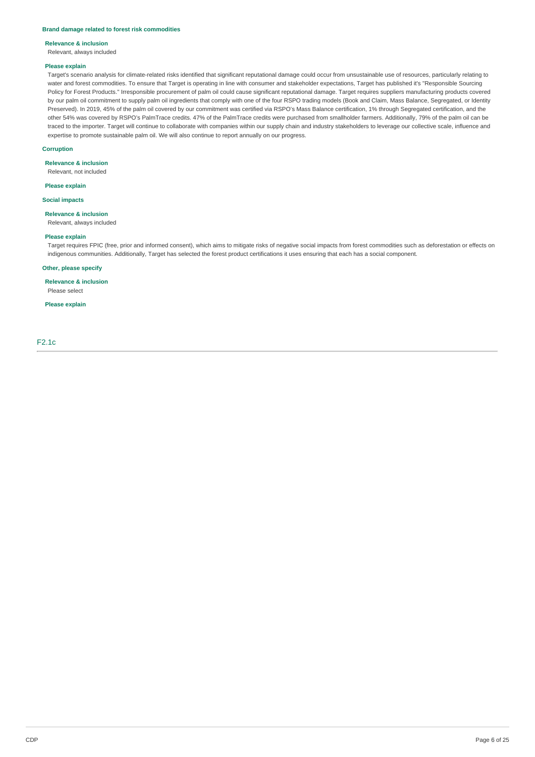#### **Brand damage related to forest risk commodities**

#### **Relevance & inclusion**

Relevant, always included

### **Please explain**

Target's scenario analysis for climate-related risks identified that significant reputational damage could occur from unsustainable use of resources, particularly relating to water and forest commodities. To ensure that Target is operating in line with consumer and stakeholder expectations, Target has published it's "Responsible Sourcing Policy for Forest Products." Irresponsible procurement of palm oil could cause significant reputational damage. Target requires suppliers manufacturing products covered by our palm oil commitment to supply palm oil ingredients that comply with one of the four RSPO trading models (Book and Claim, Mass Balance, Segregated, or Identity Preserved). In 2019, 45% of the palm oil covered by our commitment was certified via RSPO's Mass Balance certification, 1% through Segregated certification, and the other 54% was covered by RSPO's PalmTrace credits. 47% of the PalmTrace credits were purchased from smallholder farmers. Additionally, 79% of the palm oil can be traced to the importer. Target will continue to collaborate with companies within our supply chain and industry stakeholders to leverage our collective scale, influence and expertise to promote sustainable palm oil. We will also continue to report annually on our progress.

#### **Corruption**

#### **Relevance & inclusion**

Relevant, not included

### **Please explain**

**Social impacts** 

#### **Relevance & inclusion**

Relevant, always included

#### **Please explain**

Target requires FPIC (free, prior and informed consent), which aims to mitigate risks of negative social impacts from forest commodities such as deforestation or effects on indigenous communities. Additionally, Target has selected the forest product certifications it uses ensuring that each has a social component.

#### **Other, please specify**

**Relevance & inclusion**  Please select

# **Please explain**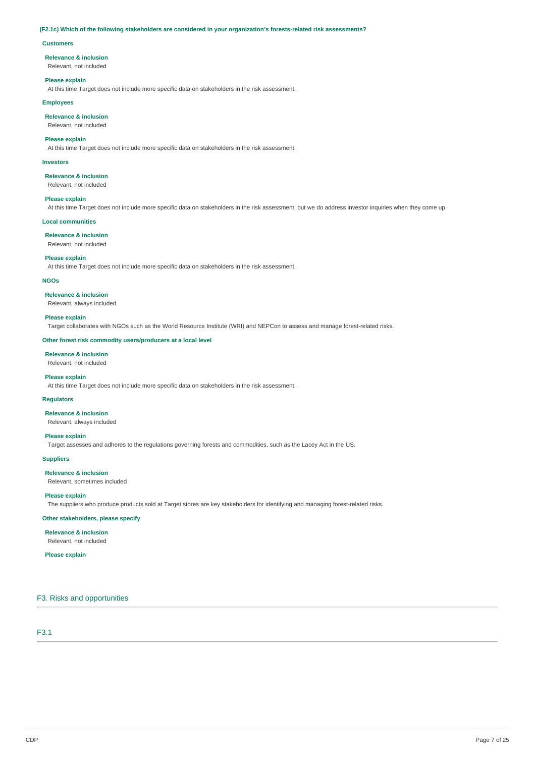#### **(F2.1c) Which of the following stakeholders are considered in your organization's forests-related risk assessments?**

#### **Customers**

#### **Relevance & inclusion**

Relevant, not included

#### **Please explain**

At this time Target does not include more specific data on stakeholders in the risk assessment.

### **Employees**

### **Relevance & inclusion**

Relevant, not included

### **Please explain**

At this time Target does not include more specific data on stakeholders in the risk assessment.

#### **Investors**

**Relevance & inclusion** 

### Relevant, not included

**Please explain** 

At this time Target does not include more specific data on stakeholders in the risk assessment, but we do address investor inquiries when they come up.

#### **Local communities**

**Relevance & inclusion**  Relevant, not included

### **Please explain**

At this time Target does not include more specific data on stakeholders in the risk assessment.

### **NGOs**

**Relevance & inclusion** 

Relevant, always included

#### **Please explain**

Target collaborates with NGOs such as the World Resource Institute (WRI) and NEPCon to assess and manage forest-related risks.

#### **Other forest risk commodity users/producers at a local level**

### **Relevance & inclusion**

Relevant, not included

#### **Please explain**

At this time Target does not include more specific data on stakeholders in the risk assessment.

### **Regulators**

**Relevance & inclusion** 

#### Relevant, always included

### **Please explain**

Target assesses and adheres to the regulations governing forests and commodities, such as the Lacey Act in the US.

### **Suppliers**

**Relevance & inclusion** 

Relevant, sometimes included

### **Please explain**

The suppliers who produce products sold at Target stores are key stakeholders for identifying and managing forest-related risks.

#### **Other stakeholders, please specify**

**Relevance & inclusion**  Relevant, not included

#### **Please explain**

### F3. Risks and opportunities

### F3.1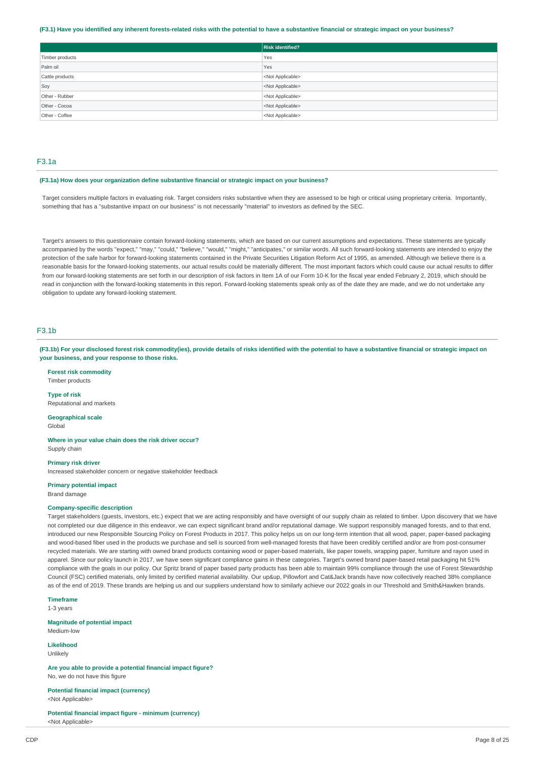#### **(F3.1) Have you identified any inherent forests-related risks with the potential to have a substantive financial or strategic impact on your business?**

|                 | Risk identified?          |
|-----------------|---------------------------|
| Timber products | Yes                       |
| Palm oil        | Yes                       |
| Cattle products | <not applicable=""></not> |
| Soy             | <not applicable=""></not> |
| Other - Rubber  | <not applicable=""></not> |
| Other - Cocoa   | <not applicable=""></not> |
| Other - Coffee  | <not applicable=""></not> |

### F3.1a

#### **(F3.1a) How does your organization define substantive financial or strategic impact on your business?**

Target considers multiple factors in evaluating risk. Target considers risks substantive when they are assessed to be high or critical using proprietary criteria. Importantly, something that has a "substantive impact on our business" is not necessarily "material" to investors as defined by the SEC.

Target's answers to this questionnaire contain forward-looking statements, which are based on our current assumptions and expectations. These statements are typically accompanied by the words "expect," "may," "could," "believe," "would," "might," "anticipates," or similar words. All such forward-looking statements are intended to enjoy the protection of the safe harbor for forward-looking statements contained in the Private Securities Litigation Reform Act of 1995, as amended. Although we believe there is a reasonable basis for the forward-looking statements, our actual results could be materially different. The most important factors which could cause our actual results to differ from our forward-looking statements are set forth in our description of risk factors in Item 1A of our Form 10-K for the fiscal year ended February 2, 2019, which should be read in conjunction with the forward-looking statements in this report. Forward-looking statements speak only as of the date they are made, and we do not undertake any obligation to update any forward-looking statement.

### F3.1b

**(F3.1b) For your disclosed forest risk commodity(ies), provide details of risks identified with the potential to have a substantive financial or strategic impact on your business, and your response to those risks.** 

**Forest risk commodity**  Timber products

#### **Type of risk**

Reputational and markets

**Geographical scale**  Global

**Where in your value chain does the risk driver occur?** 

Supply chain

**Primary risk driver** 

Increased stakeholder concern or negative stakeholder feedback

### **Primary potential impact**

Brand damage

### **Company-specific description**

Target stakeholders (guests, investors, etc.) expect that we are acting responsibly and have oversight of our supply chain as related to timber. Upon discovery that we have not completed our due diligence in this endeavor, we can expect significant brand and/or reputational damage. We support responsibly managed forests, and to that end, introduced our new Responsible Sourcing Policy on Forest Products in 2017. This policy helps us on our long-term intention that all wood, paper, paper-based packaging and wood-based fiber used in the products we purchase and sell is sourced from well-managed forests that have been credibly certified and/or are from post-consumer recycled materials. We are starting with owned brand products containing wood or paper-based materials, like paper towels, wrapping paper, furniture and rayon used in apparel. Since our policy launch in 2017, we have seen significant compliance gains in these categories. Target's owned brand paper-based retail packaging hit 51% compliance with the goals in our policy. Our Spritz brand of paper based party products has been able to maintain 99% compliance through the use of Forest Stewardship Council (FSC) certified materials, only limited by certified material availability. Our up&up, Pillowfort and Cat&Jack brands have now collectively reached 38% compliance as of the end of 2019. These brands are helping us and our suppliers understand how to similarly achieve our 2022 goals in our Threshold and Smith&Hawken brands.

#### **Timeframe**

1-3 years

**Magnitude of potential impact**  Medium-low

**Likelihood**  Unlikely

**Are you able to provide a potential financial impact figure?**  No, we do not have this figure

**Potential financial impact (currency)**  <Not Applicable>

**Potential financial impact figure - minimum (currency)**  <Not Applicable>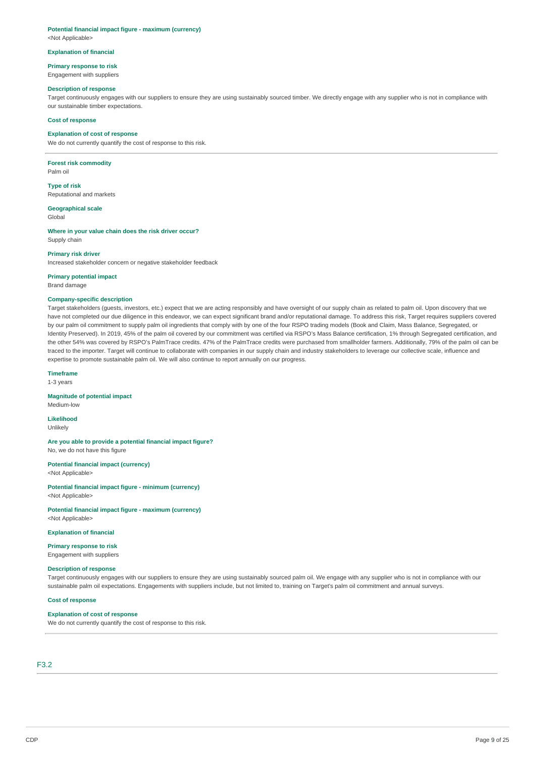### **Potential financial impact figure - maximum (currency)**

<Not Applicable>

#### **Explanation of financial**

**Primary response to risk** 

#### Engagement with suppliers

#### **Description of response**

Target continuously engages with our suppliers to ensure they are using sustainably sourced timber. We directly engage with any supplier who is not in compliance with our sustainable timber expectations.

#### **Cost of response**

#### **Explanation of cost of response**

We do not currently quantify the cost of response to this risk.

**Forest risk commodity**  Palm oil

**Type of risk**  Reputational and markets

**Geographical scale**  Global

**Where in your value chain does the risk driver occur?**  Supply chain

#### **Primary risk driver**

Increased stakeholder concern or negative stakeholder feedback

**Primary potential impact** 

Brand damage

#### **Company-specific description**

Target stakeholders (guests, investors, etc.) expect that we are acting responsibly and have oversight of our supply chain as related to palm oil. Upon discovery that we have not completed our due diligence in this endeavor, we can expect significant brand and/or reputational damage. To address this risk, Target requires suppliers covered by our palm oil commitment to supply palm oil ingredients that comply with by one of the four RSPO trading models (Book and Claim, Mass Balance, Segregated, or Identity Preserved). In 2019, 45% of the palm oil covered by our commitment was certified via RSPO's Mass Balance certification, 1% through Segregated certification, and the other 54% was covered by RSPO's PalmTrace credits. 47% of the PalmTrace credits were purchased from smallholder farmers. Additionally, 79% of the palm oil can be traced to the importer. Target will continue to collaborate with companies in our supply chain and industry stakeholders to leverage our collective scale, influence and expertise to promote sustainable palm oil. We will also continue to report annually on our progress.

### **Timeframe**

1-3 years

### **Magnitude of potential impact**

Medium-low **Likelihood** 

Unlikely

**Are you able to provide a potential financial impact figure?**  No, we do not have this figure

**Potential financial impact (currency)**  <Not Applicable>

**Potential financial impact figure - minimum (currency)**  <Not Applicable>

**Potential financial impact figure - maximum (currency)**  <Not Applicable>

### **Explanation of financial**

**Primary response to risk** 

Engagement with suppliers

### **Description of response**

Target continuously engages with our suppliers to ensure they are using sustainably sourced palm oil. We engage with any supplier who is not in compliance with our sustainable palm oil expectations. Engagements with suppliers include, but not limited to, training on Target's palm oil commitment and annual surveys.

#### **Cost of response**

### **Explanation of cost of response**

We do not currently quantify the cost of response to this risk.

### F3.2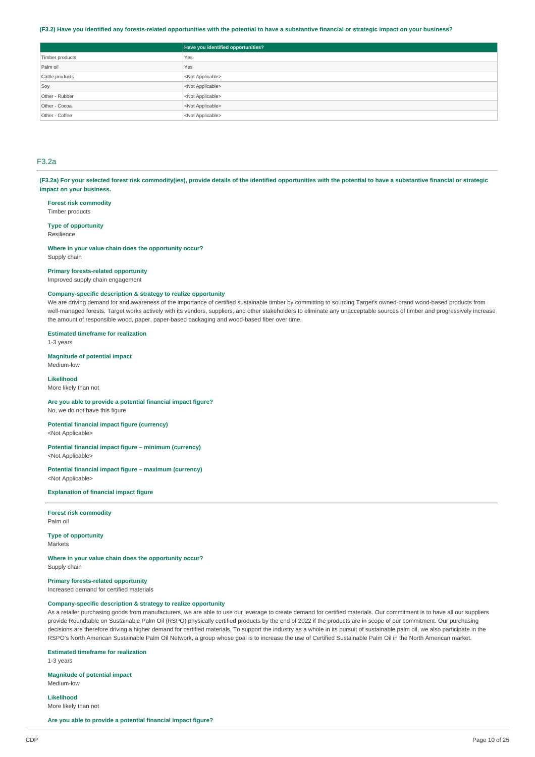#### **(F3.2) Have you identified any forests-related opportunities with the potential to have a substantive financial or strategic impact on your business?**

|                 | Have you identified opportunities? |
|-----------------|------------------------------------|
| Timber products | Yes                                |
| Palm oil        | Yes                                |
| Cattle products | <not applicable=""></not>          |
| Soy             | <not applicable=""></not>          |
| Other - Rubber  | <not applicable=""></not>          |
| Other - Cocoa   | <not applicable=""></not>          |
| Other - Coffee  | <not applicable=""></not>          |

### F3.2a

**(F3.2a) For your selected forest risk commodity(ies), provide details of the identified opportunities with the potential to have a substantive financial or strategic impact on your business.** 

**Forest risk commodity**  Timber products

**Type of opportunity**  Resilience

**Where in your value chain does the opportunity occur?**  Supply chain

#### **Primary forests-related opportunity**

Improved supply chain engagement

### **Company-specific description & strategy to realize opportunity**

We are driving demand for and awareness of the importance of certified sustainable timber by committing to sourcing Target's owned-brand wood-based products from well-managed forests. Target works actively with its vendors, suppliers, and other stakeholders to eliminate any unacceptable sources of timber and progressively increase the amount of responsible wood, paper, paper-based packaging and wood-based fiber over time.

**Estimated timeframe for realization** 

1-3 years

**Magnitude of potential impact**  Medium-low

**Likelihood** 

More likely than not

**Are you able to provide a potential financial impact figure?**  No, we do not have this figure

**Potential financial impact figure (currency)**  <Not Applicable>

**Potential financial impact figure – minimum (currency)**  <Not Applicable>

**Potential financial impact figure – maximum (currency)** 

<Not Applicable>

**Explanation of financial impact figure** 

**Forest risk commodity**  Palm oil

**Type of opportunity**  Markets

**Where in your value chain does the opportunity occur?**  Supply chain

**Primary forests-related opportunity**  Increased demand for certified materials

### **Company-specific description & strategy to realize opportunity**

As a retailer purchasing goods from manufacturers, we are able to use our leverage to create demand for certified materials. Our commitment is to have all our suppliers provide Roundtable on Sustainable Palm Oil (RSPO) physically certified products by the end of 2022 if the products are in scope of our commitment. Our purchasing decisions are therefore driving a higher demand for certified materials. To support the industry as a whole in its pursuit of sustainable palm oil, we also participate in the RSPO's North American Sustainable Palm Oil Network, a group whose goal is to increase the use of Certified Sustainable Palm Oil in the North American market.

**Estimated timeframe for realization** 

1-3 years

**Magnitude of potential impact** 

Medium-low

**Likelihood**  More likely than not

**Are you able to provide a potential financial impact figure?**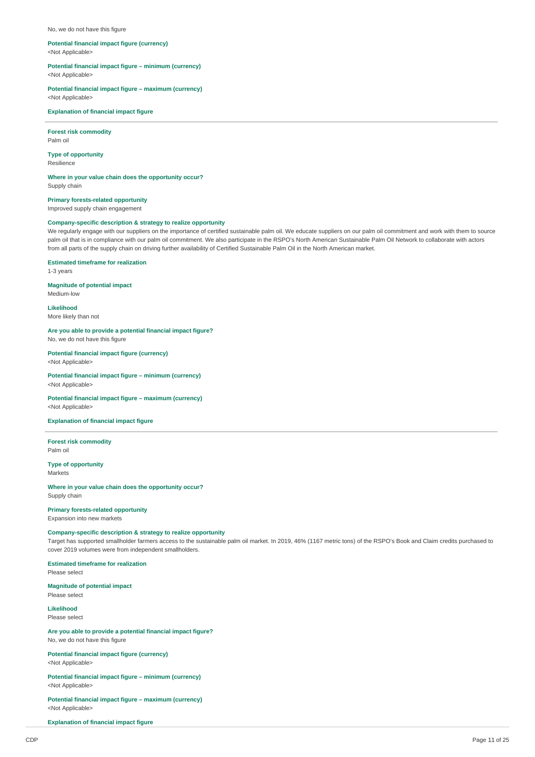#### No, we do not have this figure

### **Potential financial impact figure (currency)**

<Not Applicable>

**Potential financial impact figure – minimum (currency)**  <Not Applicable>

### **Potential financial impact figure – maximum (currency)**

<Not Applicable>

#### **Explanation of financial impact figure**

**Forest risk commodity**  Palm oil

**Type of opportunity** 

Resilience

**Where in your value chain does the opportunity occur?**  Supply chain

**Primary forests-related opportunity**  Improved supply chain engagement

#### **Company-specific description & strategy to realize opportunity**

We regularly engage with our suppliers on the importance of certified sustainable palm oil. We educate suppliers on our palm oil commitment and work with them to source palm oil that is in compliance with our palm oil commitment. We also participate in the RSPO's North American Sustainable Palm Oil Network to collaborate with actors from all parts of the supply chain on driving further availability of Certified Sustainable Palm Oil in the North American market.

### **Estimated timeframe for realization**

1-3 years

### **Magnitude of potential impact**

Medium-low **Likelihood** 

More likely than not

# **Are you able to provide a potential financial impact figure?**

No, we do not have this figure

**Potential financial impact figure (currency)**  <Not Applicable>

**Potential financial impact figure – minimum (currency)**  <Not Applicable>

#### **Potential financial impact figure – maximum (currency)**  <Not Applicable>

#### **Explanation of financial impact figure**

**Forest risk commodity**  Palm oil

**Type of opportunity Markets** 

**Where in your value chain does the opportunity occur?**  Supply chain

# **Primary forests-related opportunity**

Expansion into new markets

### **Company-specific description & strategy to realize opportunity**

Target has supported smallholder farmers access to the sustainable palm oil market. In 2019, 46% (1167 metric tons) of the RSPO's Book and Claim credits purchased to cover 2019 volumes were from independent smallholders.

### **Estimated timeframe for realization**

Please select

### **Magnitude of potential impact**  Please select

**Likelihood** 

Please select

### **Are you able to provide a potential financial impact figure?**  No, we do not have this figure

**Potential financial impact figure (currency)**  <Not Applicable>

**Potential financial impact figure – minimum (currency)**  <Not Applicable>

**Potential financial impact figure – maximum (currency)**  <Not Applicable>

**Explanation of financial impact figure**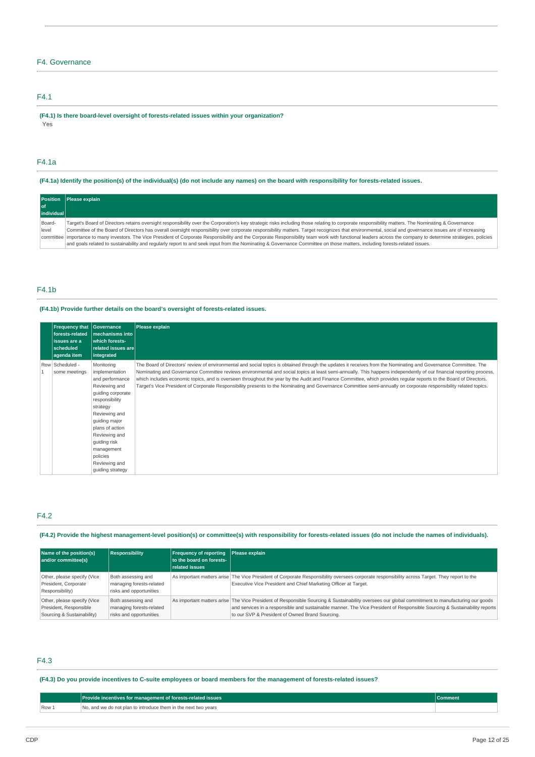# F4. Governance

# F4.1

**(F4.1) Is there board-level oversight of forests-related issues within your organization?**  Yes

# F4.1a

**(F4.1a) Identify the position(s) of the individual(s) (do not include any names) on the board with responsibility for forests-related issues.** 

|            | Position   Please explain                                                                                                                                                                                      |
|------------|----------------------------------------------------------------------------------------------------------------------------------------------------------------------------------------------------------------|
|            |                                                                                                                                                                                                                |
| individual |                                                                                                                                                                                                                |
| Board-     | Target's Board of Directors retains oversight responsibility over the Corporation's key strategic risks including those relating to corporate responsibility matters. The Nominating & Governance              |
| level      | Committee of the Board of Directors has overall oversight responsibility over corporate responsibility matters. Target recognizes that environmental, social and governance issues are of increasing           |
|            | committee importance to many investors. The Vice President of Corporate Responsibility and the Corporate Responsibility team work with functional leaders across the company to determine strategies, policies |
|            | and goals related to sustainability and regularly report to and seek input from the Nominating & Governance Committee on those matters, including forests-related issues.                                      |

# F4.1b

### **(F4.1b) Provide further details on the board's oversight of forests-related issues.**

| <b>Frequency that</b><br>forests-related<br>issues are a<br>scheduled<br>agenda item | Governance<br>mechanisms into<br>which forests-<br>related issues are<br>integrated                                                                                                                                                                                      | Please explain                                                                                                                                                                                                                                                                                                                                                                                                                                                                                                                                                                                                                                                                  |
|--------------------------------------------------------------------------------------|--------------------------------------------------------------------------------------------------------------------------------------------------------------------------------------------------------------------------------------------------------------------------|---------------------------------------------------------------------------------------------------------------------------------------------------------------------------------------------------------------------------------------------------------------------------------------------------------------------------------------------------------------------------------------------------------------------------------------------------------------------------------------------------------------------------------------------------------------------------------------------------------------------------------------------------------------------------------|
| Row Scheduled -<br>some meetings                                                     | Monitoring<br>implementation<br>and performance<br>Reviewing and<br>guiding corporate<br>responsibility<br>strategy<br>Reviewing and<br>quiding major<br>plans of action<br>Reviewing and<br>guiding risk<br>management<br>policies<br>Reviewing and<br>quiding strategy | The Board of Directors' review of environmental and social topics is obtained through the updates it receives from the Nominating and Governance Committee. The<br>Nominating and Governance Committee reviews environmental and social topics at least semi-annually. This happens independently of our financial reporting process,<br>which includes economic topics, and is overseen throughout the year by the Audit and Finance Committee, which provides regular reports to the Board of Directors.<br>Target's Vice President of Corporate Responsibility presents to the Nominating and Governance Committee semi-annually on corporate responsibility related topics. |

# F4.2

**(F4.2) Provide the highest management-level position(s) or committee(s) with responsibility for forests-related issues (do not include the names of individuals).** 

| Name of the position(s)<br>and/or committee(s)                                      | <b>Responsibility</b>                                                     | Frequency of reporting Please explain<br>to the board on forests-<br>related issues |                                                                                                                                                                                                                                                                                                                                  |
|-------------------------------------------------------------------------------------|---------------------------------------------------------------------------|-------------------------------------------------------------------------------------|----------------------------------------------------------------------------------------------------------------------------------------------------------------------------------------------------------------------------------------------------------------------------------------------------------------------------------|
| Other, please specify (Vice<br>President, Corporate<br>Responsibility)              | Both assessing and<br>managing forests-related<br>risks and opportunities |                                                                                     | As important matters arise The Vice President of Corporate Responsibility oversees corporate responsibility across Target. They report to the<br>Executive Vice President and Chief Marketing Officer at Target.                                                                                                                 |
| Other, please specify (Vice<br>President, Responsible<br>Sourcing & Sustainability) | Both assessing and<br>managing forests-related<br>risks and opportunities |                                                                                     | As important matters arise The Vice President of Responsible Sourcing & Sustainability oversees our global commitment to manufacturing our goods<br>and services in a responsible and sustainable manner. The Vice President of Responsible Sourcing & Sustainability reports<br>to our SVP & President of Owned Brand Sourcing. |

### F4.3

# **(F4.3) Do you provide incentives to C-suite employees or board members for the management of forests-related issues?**

|       | Provide incentives for management of forests-related issues    | Comment |
|-------|----------------------------------------------------------------|---------|
| Row 1 | No, and we do not plan to introduce them in the next two vears |         |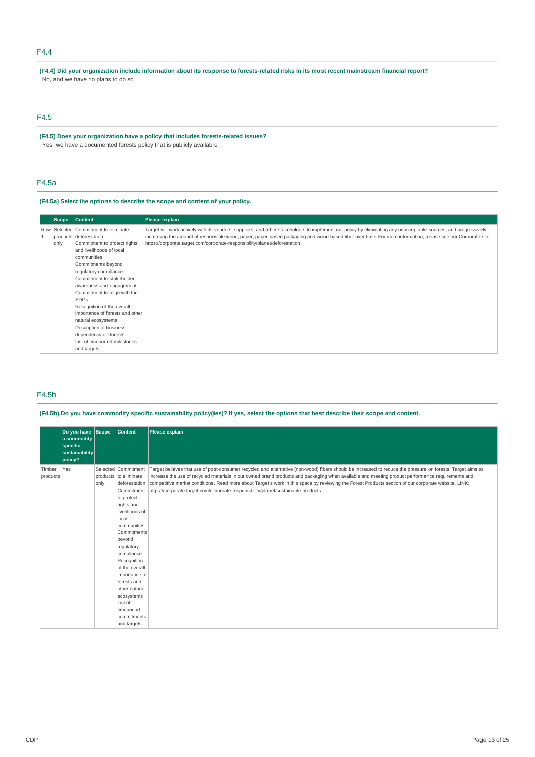### F4.4

**(F4.4) Did your organization include information about its response to forests-related risks in its most recent mainstream financial report?**  No, and we have no plans to do so

# F4.5

**(F4.5) Does your organization have a policy that includes forests-related issues?**  Yes, we have a documented forests policy that is publicly available

## F4.5a

### **(F4.5a) Select the options to describe the scope and content of your policy.**

| Scope              | <b>Content</b>                                         | Please explain                                                                                                                                                                                                                             |
|--------------------|--------------------------------------------------------|--------------------------------------------------------------------------------------------------------------------------------------------------------------------------------------------------------------------------------------------|
|                    | Row Selected Commitment to eliminate                   | Target will work actively with its vendors, suppliers, and other stakeholders to implement our policy by eliminating any unacceptable sources, and progressively                                                                           |
| only               | products deforestation<br>Commitment to protect rights | increasing the amount of responsible wood, paper, paper-based packaging and wood-based fiber over time. For more information, please see our Corporate site:<br>https://corporate.target.com/corporate-responsibility/planet/deforestation |
|                    | and livelihoods of local                               |                                                                                                                                                                                                                                            |
|                    | communities                                            |                                                                                                                                                                                                                                            |
|                    | Commitments beyond                                     |                                                                                                                                                                                                                                            |
|                    | regulatory compliance                                  |                                                                                                                                                                                                                                            |
|                    | Commitment to stakeholder                              |                                                                                                                                                                                                                                            |
|                    | awareness and engagement                               |                                                                                                                                                                                                                                            |
|                    | Commitment to align with the                           |                                                                                                                                                                                                                                            |
|                    | <b>SDGs</b>                                            |                                                                                                                                                                                                                                            |
|                    | Recognition of the overall                             |                                                                                                                                                                                                                                            |
|                    | importance of forests and other                        |                                                                                                                                                                                                                                            |
| natural ecosystems |                                                        |                                                                                                                                                                                                                                            |
|                    | Description of business                                |                                                                                                                                                                                                                                            |
|                    | dependency on forests                                  |                                                                                                                                                                                                                                            |
|                    | List of timebound milestones                           |                                                                                                                                                                                                                                            |
|                    | and targets                                            |                                                                                                                                                                                                                                            |

### F4.5b

**(F4.5b) Do you have commodity specific sustainability policy(ies)? If yes, select the options that best describe their scope and content.** 

|                    | Do you have Scope<br>a commodity<br>specific<br>sustainability<br>policy? |      | <b>Content</b>                               | Please explain                                                                                                                                                                                                                                                                                                 |
|--------------------|---------------------------------------------------------------------------|------|----------------------------------------------|----------------------------------------------------------------------------------------------------------------------------------------------------------------------------------------------------------------------------------------------------------------------------------------------------------------|
| Timber<br>products | Yes                                                                       |      | Selected Commitment<br>products to eliminate | Target believes that use of post-consumer recycled and alternative (non-wood) fibers should be increased to reduce the pressure on forests. Target aims to<br>increase the use of recycled materials in our owned brand products and packaging when available and meeting product performance requirements and |
|                    |                                                                           | only | deforestation<br>Commitment                  | competitive market conditions. Read more about Target's work in this space by reviewing the Forest Products section of our corporate website. LINK:<br>https://corporate.target.com/corporate-responsibility/planet/sustainable-products                                                                       |
|                    |                                                                           |      | to protect                                   |                                                                                                                                                                                                                                                                                                                |
|                    |                                                                           |      | rights and                                   |                                                                                                                                                                                                                                                                                                                |
|                    |                                                                           |      | livelihoods of                               |                                                                                                                                                                                                                                                                                                                |
|                    |                                                                           |      | local                                        |                                                                                                                                                                                                                                                                                                                |
|                    |                                                                           |      | communities                                  |                                                                                                                                                                                                                                                                                                                |
|                    |                                                                           |      | <b>Commitments</b><br>beyond                 |                                                                                                                                                                                                                                                                                                                |
|                    |                                                                           |      | regulatory                                   |                                                                                                                                                                                                                                                                                                                |
|                    |                                                                           |      | compliance                                   |                                                                                                                                                                                                                                                                                                                |
|                    |                                                                           |      | Recognition                                  |                                                                                                                                                                                                                                                                                                                |
|                    |                                                                           |      | of the overall                               |                                                                                                                                                                                                                                                                                                                |
|                    |                                                                           |      | importance of                                |                                                                                                                                                                                                                                                                                                                |
|                    |                                                                           |      | forests and                                  |                                                                                                                                                                                                                                                                                                                |
|                    |                                                                           |      | other natural                                |                                                                                                                                                                                                                                                                                                                |
|                    |                                                                           |      | ecosystems                                   |                                                                                                                                                                                                                                                                                                                |
|                    |                                                                           |      | List of                                      |                                                                                                                                                                                                                                                                                                                |
|                    |                                                                           |      | timebound                                    |                                                                                                                                                                                                                                                                                                                |
|                    |                                                                           |      | commitments                                  |                                                                                                                                                                                                                                                                                                                |
|                    |                                                                           |      | and targets                                  |                                                                                                                                                                                                                                                                                                                |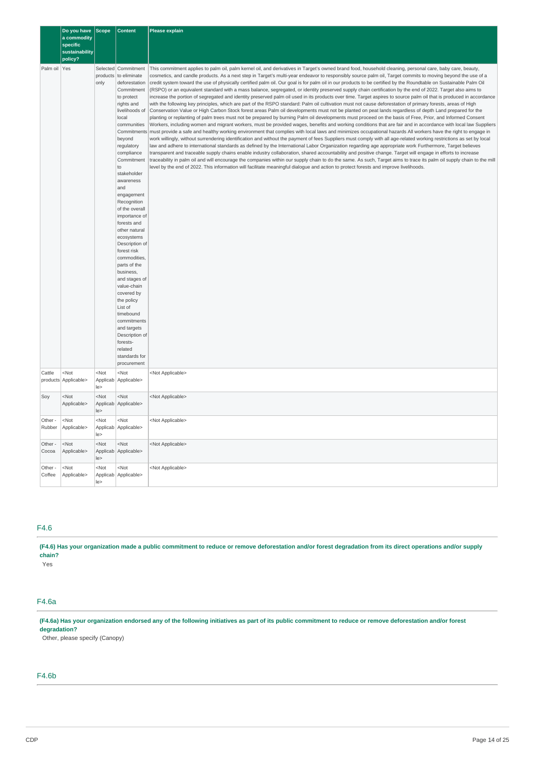|                   | Do you have<br>a commodity<br>specific<br>sustainability<br>policy? | <b>Scope</b>            | <b>Content</b>                                                                                                                                                                                                                                                                                                                                                                                                                                                                                                                                                                                                                              | <b>Please explain</b>                                                                                                                                                                                                                                                                                                                                                                                                                                                                                                                                                                                                                                                                                                                                                                                                                                                                                                                                                                                                                                                                                                                                                                                                                                                                                                                                                                                                                                                                                                                                                                                                                                                                                                                                                                                                                                                                                                                                                                                                                                                                                                                                                                                                                                                                                                                                                                                                                                                          |
|-------------------|---------------------------------------------------------------------|-------------------------|---------------------------------------------------------------------------------------------------------------------------------------------------------------------------------------------------------------------------------------------------------------------------------------------------------------------------------------------------------------------------------------------------------------------------------------------------------------------------------------------------------------------------------------------------------------------------------------------------------------------------------------------|--------------------------------------------------------------------------------------------------------------------------------------------------------------------------------------------------------------------------------------------------------------------------------------------------------------------------------------------------------------------------------------------------------------------------------------------------------------------------------------------------------------------------------------------------------------------------------------------------------------------------------------------------------------------------------------------------------------------------------------------------------------------------------------------------------------------------------------------------------------------------------------------------------------------------------------------------------------------------------------------------------------------------------------------------------------------------------------------------------------------------------------------------------------------------------------------------------------------------------------------------------------------------------------------------------------------------------------------------------------------------------------------------------------------------------------------------------------------------------------------------------------------------------------------------------------------------------------------------------------------------------------------------------------------------------------------------------------------------------------------------------------------------------------------------------------------------------------------------------------------------------------------------------------------------------------------------------------------------------------------------------------------------------------------------------------------------------------------------------------------------------------------------------------------------------------------------------------------------------------------------------------------------------------------------------------------------------------------------------------------------------------------------------------------------------------------------------------------------------|
| Palm oil Yes      |                                                                     | products<br>only        | Selected Commitment<br>to eliminate<br>deforestation<br>Commitment<br>to protect<br>rights and<br>livelihoods of<br>local<br>communities<br>Commitments<br>beyond<br>regulatory<br>compliance<br>Commitment<br>to<br>stakeholder<br>awareness<br>and<br>engagement<br>Recognition<br>of the overall<br>importance of<br>forests and<br>other natural<br>ecosystems<br>Description of<br>forest risk<br>commodities,<br>parts of the<br>business,<br>and stages of<br>value-chain<br>covered by<br>the policy<br>List of<br>timebound<br>commitments<br>and targets<br>Description of<br>forests-<br>related<br>standards for<br>procurement | This commitment applies to palm oil, palm kernel oil, and derivatives in Target's owned brand food, household cleaning, personal care, baby care, beauty,<br>cosmetics, and candle products. As a next step in Target's multi-year endeavor to responsibly source palm oil, Target commits to moving beyond the use of a<br>credit system toward the use of physically certified palm oil. Our goal is for palm oil in our products to be certified by the Roundtable on Sustainable Palm Oil<br>(RSPO) or an equivalent standard with a mass balance, segregated, or identity preserved supply chain certification by the end of 2022. Target also aims to<br>increase the portion of segregated and identity preserved palm oil used in its products over time. Target aspires to source palm oil that is produced in accordance<br>with the following key principles, which are part of the RSPO standard: Palm oil cultivation must not cause deforestation of primary forests, areas of High<br>Conservation Value or High Carbon Stock forest areas Palm oil developments must not be planted on peat lands regardless of depth Land prepared for the<br>planting or replanting of palm trees must not be prepared by burning Palm oil developments must proceed on the basis of Free, Prior, and Informed Consent<br>Workers, including women and migrant workers, must be provided wages, benefits and working conditions that are fair and in accordance with local law Suppliers<br>must provide a safe and healthy working environment that complies with local laws and minimizes occupational hazards All workers have the right to engage in<br>work willingly, without surrendering identification and without the payment of fees Suppliers must comply with all age-related working restrictions as set by local<br>law and adhere to international standards as defined by the International Labor Organization regarding age appropriate work Furthermore, Target believes<br>transparent and traceable supply chains enable industry collaboration, shared accountability and positive change. Target will engage in efforts to increase<br>traceability in palm oil and will encourage the companies within our supply chain to do the same. As such, Target aims to trace its palm oil supply chain to the mill<br>level by the end of 2022. This information will facilitate meaningful dialogue and action to protect forests and improve livelihoods. |
| Cattle            | $<$ Not<br>products Applicable>                                     | <not<br>le&gt;</not<br> | $<$ Not<br>Applicab Applicable>                                                                                                                                                                                                                                                                                                                                                                                                                                                                                                                                                                                                             | <not applicable=""></not>                                                                                                                                                                                                                                                                                                                                                                                                                                                                                                                                                                                                                                                                                                                                                                                                                                                                                                                                                                                                                                                                                                                                                                                                                                                                                                                                                                                                                                                                                                                                                                                                                                                                                                                                                                                                                                                                                                                                                                                                                                                                                                                                                                                                                                                                                                                                                                                                                                                      |
| Soy               | $<$ Not<br>Applicable>                                              | <not<br>le</not<br>     | $<$ Not<br>Applicab   Applicable>                                                                                                                                                                                                                                                                                                                                                                                                                                                                                                                                                                                                           | <not applicable=""></not>                                                                                                                                                                                                                                                                                                                                                                                                                                                                                                                                                                                                                                                                                                                                                                                                                                                                                                                                                                                                                                                                                                                                                                                                                                                                                                                                                                                                                                                                                                                                                                                                                                                                                                                                                                                                                                                                                                                                                                                                                                                                                                                                                                                                                                                                                                                                                                                                                                                      |
| Other -<br>Rubber | $<$ Not<br>Applicable>                                              | <not<br>le&gt;</not<br> | $<$ Not<br>Applicab Applicable>                                                                                                                                                                                                                                                                                                                                                                                                                                                                                                                                                                                                             | <not applicable=""></not>                                                                                                                                                                                                                                                                                                                                                                                                                                                                                                                                                                                                                                                                                                                                                                                                                                                                                                                                                                                                                                                                                                                                                                                                                                                                                                                                                                                                                                                                                                                                                                                                                                                                                                                                                                                                                                                                                                                                                                                                                                                                                                                                                                                                                                                                                                                                                                                                                                                      |
| Other -<br>Cocoa  | $<$ Not<br>Applicable>                                              | $<$ Not<br>le           | $<$ Not<br>Applicab Applicable>                                                                                                                                                                                                                                                                                                                                                                                                                                                                                                                                                                                                             | <not applicable=""></not>                                                                                                                                                                                                                                                                                                                                                                                                                                                                                                                                                                                                                                                                                                                                                                                                                                                                                                                                                                                                                                                                                                                                                                                                                                                                                                                                                                                                                                                                                                                                                                                                                                                                                                                                                                                                                                                                                                                                                                                                                                                                                                                                                                                                                                                                                                                                                                                                                                                      |
| Other -<br>Coffee | <not<br>Applicable&gt;</not<br>                                     | <not<br>le</not<br>     | <not<br>Applicab Applicable&gt;</not<br>                                                                                                                                                                                                                                                                                                                                                                                                                                                                                                                                                                                                    | <not applicable=""></not>                                                                                                                                                                                                                                                                                                                                                                                                                                                                                                                                                                                                                                                                                                                                                                                                                                                                                                                                                                                                                                                                                                                                                                                                                                                                                                                                                                                                                                                                                                                                                                                                                                                                                                                                                                                                                                                                                                                                                                                                                                                                                                                                                                                                                                                                                                                                                                                                                                                      |

## F4.6

**(F4.6) Has your organization made a public commitment to reduce or remove deforestation and/or forest degradation from its direct operations and/or supply chain?** 

Yes

# F4.6a

**(F4.6a) Has your organization endorsed any of the following initiatives as part of its public commitment to reduce or remove deforestation and/or forest degradation?** 

Other, please specify (Canopy)

# F4.6b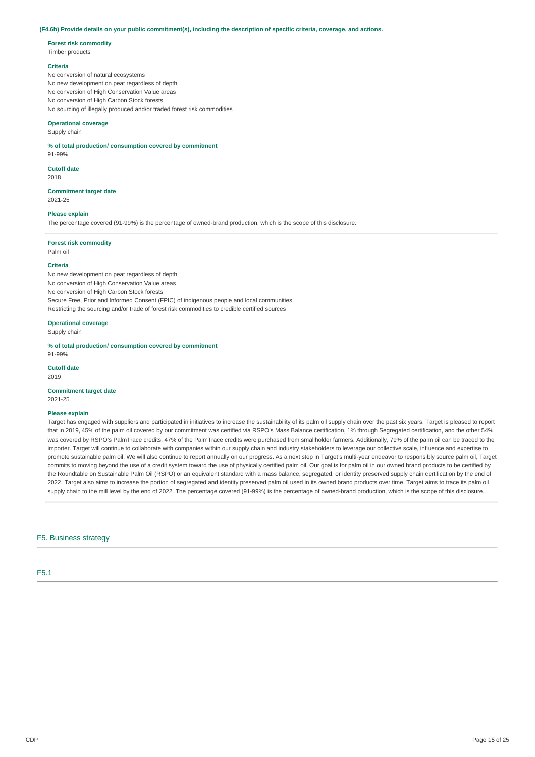#### **(F4.6b) Provide details on your public commitment(s), including the description of specific criteria, coverage, and actions.**

#### **Forest risk commodity**

Timber products

### **Criteria**

No conversion of natural ecosystems No new development on peat regardless of depth No conversion of High Conservation Value areas No conversion of High Carbon Stock forests No sourcing of illegally produced and/or traded forest risk commodities

#### **Operational coverage**

Supply chain

#### **% of total production/ consumption covered by commitment**

### 91-99% **Cutoff date**

2018

#### **Commitment target date**  2021-25

# **Please explain**

The percentage covered (91-99%) is the percentage of owned-brand production, which is the scope of this disclosure.

#### **Forest risk commodity**

Palm oil

### **Criteria**

No new development on peat regardless of depth No conversion of High Conservation Value areas No conversion of High Carbon Stock forests Secure Free, Prior and Informed Consent (FPIC) of indigenous people and local communities Restricting the sourcing and/or trade of forest risk commodities to credible certified sources

### **Operational coverage**

Supply chain

#### **% of total production/ consumption covered by commitment**

91-99% **Cutoff date** 

2019

### **Commitment target date**

2021-25

#### **Please explain**

Target has engaged with suppliers and participated in initiatives to increase the sustainability of its palm oil supply chain over the past six years. Target is pleased to report that in 2019, 45% of the palm oil covered by our commitment was certified via RSPO's Mass Balance certification, 1% through Segregated certification, and the other 54% was covered by RSPO's PalmTrace credits. 47% of the PalmTrace credits were purchased from smallholder farmers. Additionally, 79% of the palm oil can be traced to the importer. Target will continue to collaborate with companies within our supply chain and industry stakeholders to leverage our collective scale, influence and expertise to promote sustainable palm oil. We will also continue to report annually on our progress. As a next step in Target's multi-year endeavor to responsibly source palm oil, Target commits to moving beyond the use of a credit system toward the use of physically certified palm oil. Our goal is for palm oil in our owned brand products to be certified by the Roundtable on Sustainable Palm Oil (RSPO) or an equivalent standard with a mass balance, segregated, or identity preserved supply chain certification by the end of 2022. Target also aims to increase the portion of segregated and identity preserved palm oil used in its owned brand products over time. Target aims to trace its palm oil supply chain to the mill level by the end of 2022. The percentage covered (91-99%) is the percentage of owned-brand production, which is the scope of this disclosure.

F5. Business strategy

F5.1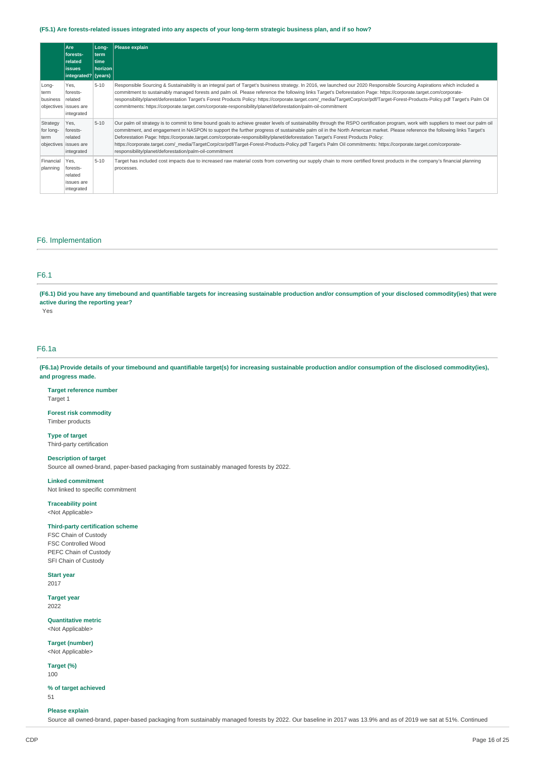### **(F5.1) Are forests-related issues integrated into any aspects of your long-term strategic business plan, and if so how?**

|                               | Are<br>forests-<br>related<br><b>lissues</b><br>integrated? (years) | Long-<br>term<br>time<br>horizonl | <b>Please explain</b>                                                                                                                                                                                                                                                                                                                                                                                                                                                                                                                                                                                                                                                                                                            |
|-------------------------------|---------------------------------------------------------------------|-----------------------------------|----------------------------------------------------------------------------------------------------------------------------------------------------------------------------------------------------------------------------------------------------------------------------------------------------------------------------------------------------------------------------------------------------------------------------------------------------------------------------------------------------------------------------------------------------------------------------------------------------------------------------------------------------------------------------------------------------------------------------------|
| Long-<br>term<br>business     | Yes,<br>forests-<br>related<br>objectives issues are<br>integrated  | $5 - 10$                          | Responsible Sourcing & Sustainability is an integral part of Target's business strategy. In 2016, we launched our 2020 Responsible Sourcing Aspirations which included a<br>commitment to sustainably managed forests and palm oil. Please reference the following links Target's Deforestation Page: https://corporate.target.com/corporate-<br>responsibility/planet/deforestation Target's Forest Products Policy: https://corporate.target.com/ media/TargetCorp/csr/pdf/Target-Forest-Products-Policy.pdf Target's Palm Oil<br>commitments: https://corporate.target.com/corporate-responsibility/planet/deforestation/palm-oil-commitment                                                                                  |
| Strategy<br>for long-<br>term | Yes.<br>forests-<br>related<br>objectives issues are<br>integrated  | $5 - 10$                          | Our palm oil strategy is to commit to time bound goals to achieve greater levels of sustainability through the RSPO certification program, work with suppliers to meet our palm oil<br>commitment, and engagement in NASPON to support the further progress of sustainable palm oil in the North American market. Please reference the following links Target's<br>Deforestation Page: https://corporate.target.com/corporate-responsibility/planet/deforestation Target's Forest Products Policy:<br>https://corporate.target.com/ media/TargetCorp/csr/pdf/Target-Forest-Products-Policy.pdf Target's Palm Oil commitments: https://corporate.target.com/corporate-<br>responsibility/planet/deforestation/palm-oil-commitment |
| Financial<br>planning         | Yes.<br>forests-<br>related<br>issues are<br>integrated             | $5 - 10$                          | Target has included cost impacts due to increased raw material costs from converting our supply chain to more certified forest products in the company's financial planning<br>processes.                                                                                                                                                                                                                                                                                                                                                                                                                                                                                                                                        |

### F6. Implementation

### F6.1

**(F6.1) Did you have any timebound and quantifiable targets for increasing sustainable production and/or consumption of your disclosed commodity(ies) that were active during the reporting year?** 

Yes

# F6.1a

**(F6.1a) Provide details of your timebound and quantifiable target(s) for increasing sustainable production and/or consumption of the disclosed commodity(ies), and progress made.** 

### **Target reference number**

Target 1

#### **Forest risk commodity**  Timber products

**Type of target**  Third-party certification

#### **Description of target**

Source all owned-brand, paper-based packaging from sustainably managed forests by 2022.

#### **Linked commitment**

Not linked to specific commitment

**Traceability point**  <Not Applicable>

### **Third-party certification scheme**

FSC Chain of Custody FSC Controlled Wood PEFC Chain of Custody SFI Chain of Custody

#### **Start year**  2017

**Target year**  2022

**Quantitative metric**  <Not Applicable>

**Target (number)**  <Not Applicable>

**Target (%)**  100

**% of target achieved**  51

#### **Please explain**

Source all owned-brand, paper-based packaging from sustainably managed forests by 2022. Our baseline in 2017 was 13.9% and as of 2019 we sat at 51%. Continued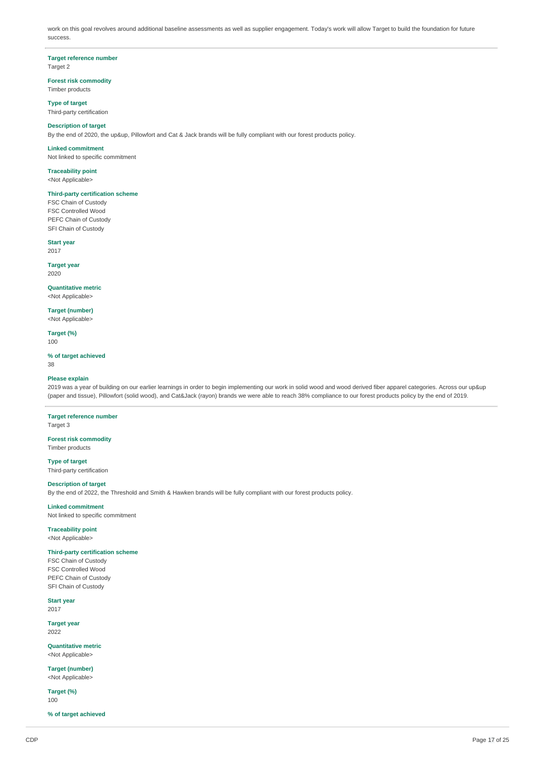work on this goal revolves around additional baseline assessments as well as supplier engagement. Today's work will allow Target to build the foundation for future success.

# **Target reference number**

Target 2

#### **Forest risk commodity**  Timber products

**Type of target**  Third-party certification

### **Description of target**

By the end of 2020, the up&up, Pillowfort and Cat & Jack brands will be fully compliant with our forest products policy.

**Linked commitment** 

Not linked to specific commitment

**Traceability point**  <Not Applicable>

#### **Third-party certification scheme**

FSC Chain of Custody FSC Controlled Wood PEFC Chain of Custody SFI Chain of Custody

**Start year**  2017

**Target year**  2020

**Quantitative metric**  <Not Applicable>

**Target (number)**  <Not Applicable>

**Target (%)**  100

#### **% of target achieved**

38

### **Please explain**

2019 was a year of building on our earlier learnings in order to begin implementing our work in solid wood and wood derived fiber apparel categories. Across our up&up (paper and tissue), Pillowfort (solid wood), and Cat&Jack (rayon) brands we were able to reach 38% compliance to our forest products policy by the end of 2019.

**Target reference number**  Target 3

**Forest risk commodity**  Timber products

**Type of target**  Third-party certification

#### **Description of target**

By the end of 2022, the Threshold and Smith & Hawken brands will be fully compliant with our forest products policy.

**Linked commitment**  Not linked to specific commitment

**Traceability point** 

<Not Applicable>

#### **Third-party certification scheme**

FSC Chain of Custody FSC Controlled Wood PEFC Chain of Custody SFI Chain of Custody

**Start year** 

# 2017

**Target year**  2022

**Quantitative metric**  <Not Applicable>

**Target (number)**  <Not Applicable>

**Target (%)**  100

**% of target achieved**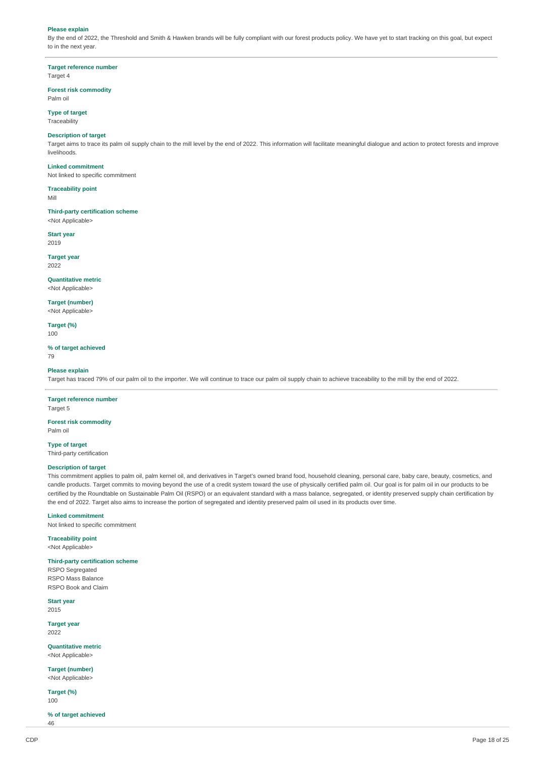#### **Please explain**

By the end of 2022, the Threshold and Smith & Hawken brands will be fully compliant with our forest products policy. We have yet to start tracking on this goal, but expect to in the next year.

**Target reference number**  Target 4

# **Forest risk commodity**

### Palm oil

**Type of target** 

Traceability

### **Description of target**

Target aims to trace its palm oil supply chain to the mill level by the end of 2022. This information will facilitate meaningful dialogue and action to protect forests and improve livelihoods.

### **Linked commitment**

Not linked to specific commitment

**Traceability point** 

Mill

**Third-party certification scheme**  <Not Applicable>

**Start year** 

2019

**Target year**  2022

### **Quantitative metric**

<Not Applicable>

**Target (number)**  <Not Applicable>

**Target (%)** 

100

# **% of target achieved**

79

# **Please explain**

Target has traced 79% of our palm oil to the importer. We will continue to trace our palm oil supply chain to achieve traceability to the mill by the end of 2022.

### **Target reference number**  Target 5

**Forest risk commodity** 

Palm oil

**Type of target** 

Third-party certification

### **Description of target**

This commitment applies to palm oil, palm kernel oil, and derivatives in Target's owned brand food, household cleaning, personal care, baby care, beauty, cosmetics, and candle products. Target commits to moving beyond the use of a credit system toward the use of physically certified palm oil. Our goal is for palm oil in our products to be certified by the Roundtable on Sustainable Palm Oil (RSPO) or an equivalent standard with a mass balance, segregated, or identity preserved supply chain certification by the end of 2022. Target also aims to increase the portion of segregated and identity preserved palm oil used in its products over time.

#### **Linked commitment**

Not linked to specific commitment

**Traceability point**  <Not Applicable>

**Third-party certification scheme**  RSPO Segregated RSPO Mass Balance RSPO Book and Claim

**Start year**  2015

**Target year** 

2022

**Quantitative metric**  <Not Applicable>

**Target (number)**  <Not Applicable>

**Target (%)**  100

**% of target achieved**  46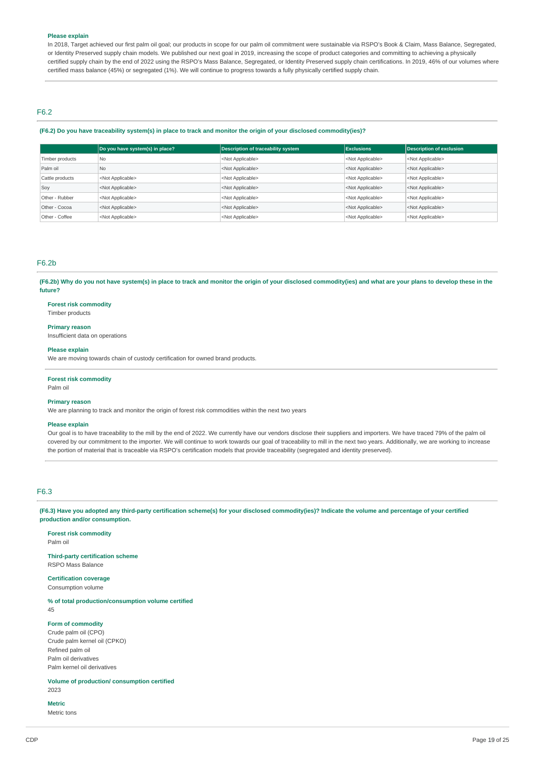### **Please explain**

In 2018, Target achieved our first palm oil goal; our products in scope for our palm oil commitment were sustainable via RSPO's Book & Claim, Mass Balance, Segregated, or Identity Preserved supply chain models. We published our next goal in 2019, increasing the scope of product categories and committing to achieving a physically certified supply chain by the end of 2022 using the RSPO's Mass Balance, Segregated, or Identity Preserved supply chain certifications. In 2019, 46% of our volumes where certified mass balance (45%) or segregated (1%). We will continue to progress towards a fully physically certified supply chain.

### F6.2

#### **(F6.2) Do you have traceability system(s) in place to track and monitor the origin of your disclosed commodity(ies)?**

|                 | Do you have system(s) in place? | <b>Description of traceability system</b> | <b>Exclusions</b>         | <b>Description of exclusion</b> |
|-----------------|---------------------------------|-------------------------------------------|---------------------------|---------------------------------|
| Timber products | N <sub>0</sub>                  | <not applicable=""></not>                 | <not applicable=""></not> | <not applicable=""></not>       |
| Palm oil        | N <sub>0</sub>                  | <not applicable=""></not>                 | <not applicable=""></not> | <not applicable=""></not>       |
| Cattle products | <not applicable=""></not>       | <not applicable=""></not>                 | <not applicable=""></not> | <not applicable=""></not>       |
| Soy             | <not applicable=""></not>       | <not applicable=""></not>                 | <not applicable=""></not> | <not applicable=""></not>       |
| Other - Rubber  | <not applicable=""></not>       | <not applicable=""></not>                 | <not applicable=""></not> | <not applicable=""></not>       |
| Other - Cocoa   | <not applicable=""></not>       | <not applicable=""></not>                 | <not applicable=""></not> | <not applicable=""></not>       |
| Other - Coffee  | <not applicable=""></not>       | <not applicable=""></not>                 | <not applicable=""></not> | <not applicable=""></not>       |

## F6.2b

**(F6.2b) Why do you not have system(s) in place to track and monitor the origin of your disclosed commodity(ies) and what are your plans to develop these in the future?** 

#### **Forest risk commodity**

Timber products

#### **Primary reason**

Insufficient data on operations

#### **Please explain**

We are moving towards chain of custody certification for owned brand products.

#### **Forest risk commodity**

Palm oil

### **Primary reason**

We are planning to track and monitor the origin of forest risk commodities within the next two years

### **Please explain**

Our goal is to have traceability to the mill by the end of 2022. We currently have our vendors disclose their suppliers and importers. We have traced 79% of the palm oil covered by our commitment to the importer. We will continue to work towards our goal of traceability to mill in the next two years. Additionally, we are working to increase the portion of material that is traceable via RSPO's certification models that provide traceability (segregated and identity preserved).

### F6.3

**(F6.3) Have you adopted any third-party certification scheme(s) for your disclosed commodity(ies)? Indicate the volume and percentage of your certified production and/or consumption.** 

#### **Forest risk commodity**

Palm oil

### **Third-party certification scheme**  RSPO Mass Balance

**Certification coverage** 

# Consumption volume

**% of total production/consumption volume certified** 

45

### **Form of commodity**

Crude palm oil (CPO) Crude palm kernel oil (CPKO) Refined palm oil Palm oil derivatives Palm kernel oil derivatives

**Volume of production/ consumption certified**  2023

#### **Metric**

Metric tons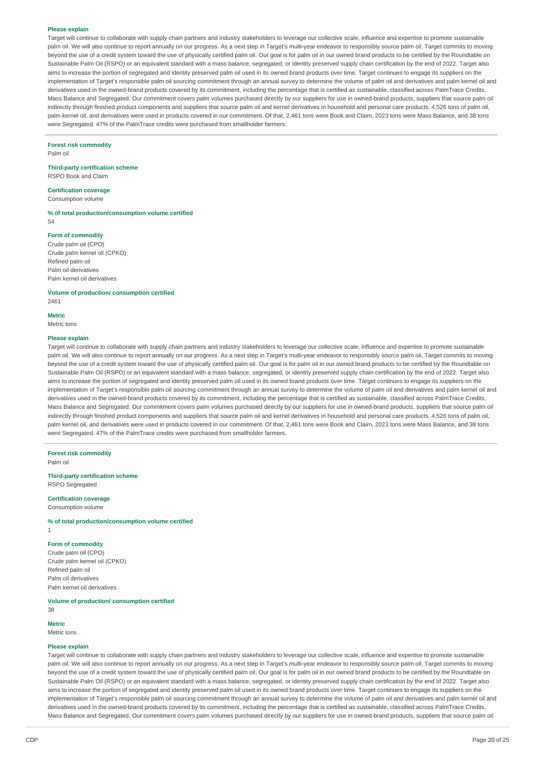#### **Please explain**

Target will continue to collaborate with supply chain partners and industry stakeholders to leverage our collective scale, influence and expertise to promote sustainable palm oil. We will also continue to report annually on our progress. As a next step in Target's multi-year endeavor to responsibly source palm oil, Target commits to moving beyond the use of a credit system toward the use of physically certified palm oil. Our goal is for palm oil in our owned brand products to be certified by the Roundtable on Sustainable Palm Oil (RSPO) or an equivalent standard with a mass balance, segregated, or identity preserved supply chain certification by the end of 2022. Target also aims to increase the portion of segregated and identity preserved palm oil used in its owned brand products over time. Target continues to engage its suppliers on the implementation of Target's responsible palm oil sourcing commitment through an annual survey to determine the volume of palm oil and derivatives and palm kernel oil and derivatives used in the owned-brand products covered by its commitment, including the percentage that is certified as sustainable, classified across PalmTrace Credits, Mass Balance and Segregated. Our commitment covers palm volumes purchased directly by our suppliers for use in owned-brand products, suppliers that source palm oil indirectly through finished product components and suppliers that source palm oil and kernel derivatives in household and personal care products. 4,526 tons of palm oil. palm kernel oil, and derivatives were used in products covered in our commitment. Of that, 2,461 tons were Book and Claim, 2023 tons were Mass Balance, and 38 tons were Segregated. 47% of the PalmTrace credits were purchased from smallholder farmers.

#### **Forest risk commodity**

Palm oil

### **Third-party certification scheme**

RSPO Book and Claim

# **Certification coverage**

Consumption volume

#### **% of total production/consumption volume certified**   $54$

#### **Form of commodity**

Crude palm oil (CPO) Crude palm kernel oil (CPKO) Refined palm oil Palm oil derivatives Palm kernel oil derivatives

**Volume of production/ consumption certified**  2461

**Metric**  Metric tons

### **Please explain**

Target will continue to collaborate with supply chain partners and industry stakeholders to leverage our collective scale, influence and expertise to promote sustainable palm oil. We will also continue to report annually on our progress. As a next step in Target's multi-year endeavor to responsibly source palm oil, Target commits to moving beyond the use of a credit system toward the use of physically certified palm oil. Our goal is for palm oil in our owned brand products to be certified by the Roundtable on Sustainable Palm Oil (RSPO) or an equivalent standard with a mass balance, segregated, or identity preserved supply chain certification by the end of 2022. Target also aims to increase the portion of segregated and identity preserved palm oil used in its owned brand products over time. Target continues to engage its suppliers on the implementation of Target's responsible palm oil sourcing commitment through an annual survey to determine the volume of palm oil and derivatives and palm kernel oil and derivatives used in the owned-brand products covered by its commitment, including the percentage that is certified as sustainable, classified across PalmTrace Credits, Mass Balance and Segregated. Our commitment covers palm volumes purchased directly by our suppliers for use in owned-brand products, suppliers that source palm oil indirectly through finished product components and suppliers that source palm oil and kernel derivatives in household and personal care products. 4,526 tons of palm oil, palm kernel oil, and derivatives were used in products covered in our commitment. Of that, 2,461 tons were Book and Claim, 2023 tons were Mass Balance, and 38 tons were Segregated. 47% of the PalmTrace credits were purchased from smallholder farmers.

#### **Forest risk commodity**

Palm oil

#### **Third-party certification scheme**  RSPO Segregated

# **Certification coverage**

Consumption volume

**% of total production/consumption volume certified** 

1

### **Form of commodity**

Crude palm oil (CPO) Crude palm kernel oil (CPKO) Refined palm oil Palm oil derivatives Palm kernel oil derivatives

**Volume of production/ consumption certified** 

### 38 **Metric**

Metric tons

#### **Please explain**

Target will continue to collaborate with supply chain partners and industry stakeholders to leverage our collective scale, influence and expertise to promote sustainable palm oil. We will also continue to report annually on our progress. As a next step in Target's multi-year endeavor to responsibly source palm oil, Target commits to moving beyond the use of a credit system toward the use of physically certified palm oil. Our goal is for palm oil in our owned brand products to be certified by the Roundtable on Sustainable Palm Oil (RSPO) or an equivalent standard with a mass balance, segregated, or identity preserved supply chain certification by the end of 2022. Target also aims to increase the portion of segregated and identity preserved palm oil used in its owned brand products over time. Target continues to engage its suppliers on the implementation of Target's responsible palm oil sourcing commitment through an annual survey to determine the volume of palm oil and derivatives and palm kernel oil and derivatives used in the owned-brand products covered by its commitment, including the percentage that is certified as sustainable, classified across PalmTrace Credits Mass Balance and Segregated. Our commitment covers palm volumes purchased directly by our suppliers for use in owned-brand products, suppliers that source palm oil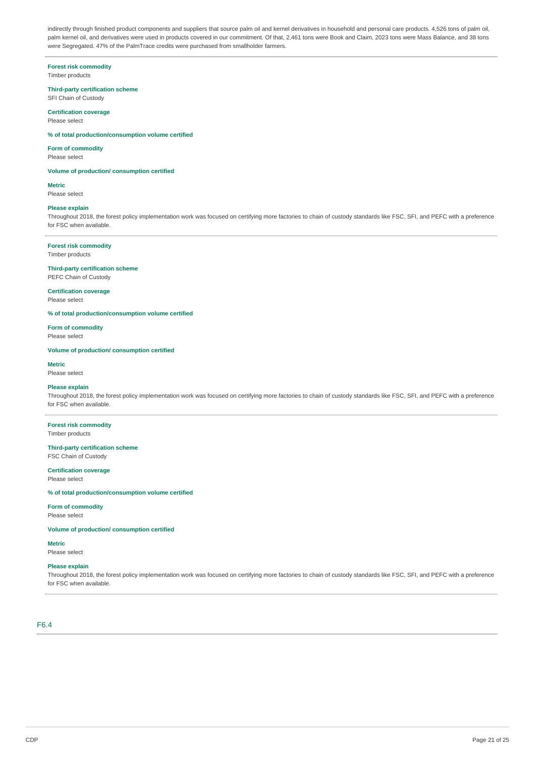indirectly through finished product components and suppliers that source palm oil and kernel derivatives in household and personal care products. 4,526 tons of palm oil, palm kernel oil, and derivatives were used in products covered in our commitment. Of that, 2,461 tons were Book and Claim, 2023 tons were Mass Balance, and 38 tons were Segregated. 47% of the PalmTrace credits were purchased from smallholder farmers.

# **Forest risk commodity**

Timber products

### **Third-party certification scheme**

SFI Chain of Custody **Certification coverage** 

Please select

### **% of total production/consumption volume certified**

#### **Form of commodity**

Please select

**Volume of production/ consumption certified** 

#### **Metric**

Please select

#### **Please explain**

Throughout 2018, the forest policy implementation work was focused on certifying more factories to chain of custody standards like FSC, SFI, and PEFC with a preference for FSC when available.

### **Forest risk commodity**

Timber products

# **Third-party certification scheme**

PEFC Chain of Custody

## **Certification coverage**

Please select

#### **% of total production/consumption volume certified**

**Form of commodity**  Please select

# **Volume of production/ consumption certified**

**Metric** 

# Please select

### **Please explain**

Throughout 2018, the forest policy implementation work was focused on certifying more factories to chain of custody standards like FSC, SFI, and PEFC with a preference for FSC when available.

#### **Forest risk commodity**  Timber products

### **Third-party certification scheme**  FSC Chain of Custody

#### **Certification coverage**  Please select

### **% of total production/consumption volume certified**

**Form of commodity** 

Please select

### **Volume of production/ consumption certified**

**Metric**  Please select

#### **Please explain**

Throughout 2018, the forest policy implementation work was focused on certifying more factories to chain of custody standards like FSC, SFI, and PEFC with a preference for FSC when available.

F6.4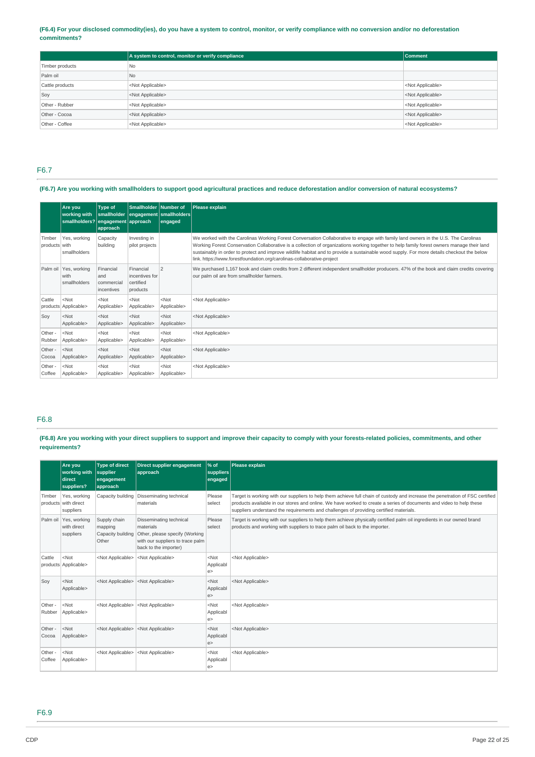### **(F6.4) For your disclosed commodity(ies), do you have a system to control, monitor, or verify compliance with no conversion and/or no deforestation commitments?**

|                 | A system to control, monitor or verify compliance | Comment                   |
|-----------------|---------------------------------------------------|---------------------------|
| Timber products | N <sub>0</sub>                                    |                           |
| Palm oil        | N <sub>o</sub>                                    |                           |
| Cattle products | <not applicable=""></not>                         | <not applicable=""></not> |
| Soy             | <not applicable=""></not>                         | <not applicable=""></not> |
| Other - Rubber  | <not applicable=""></not>                         | <not applicable=""></not> |
| Other - Cocoa   | <not applicable=""></not>                         | <not applicable=""></not> |
| Other - Coffee  | <not applicable=""></not>                         | <not applicable=""></not> |

### F6.7

### **(F6.7) Are you working with smallholders to support good agricultural practices and reduce deforestation and/or conversion of natural ecosystems?**

|                         | Are you<br>working with<br>smallholders? engagement approach | <b>Type of</b><br>smallholder<br>approach    | Smallholder Number of                                | engagement smallholders<br>engaged | Please explain                                                                                                                                                                                                                                                                                                                                                                                                                                                                                           |
|-------------------------|--------------------------------------------------------------|----------------------------------------------|------------------------------------------------------|------------------------------------|----------------------------------------------------------------------------------------------------------------------------------------------------------------------------------------------------------------------------------------------------------------------------------------------------------------------------------------------------------------------------------------------------------------------------------------------------------------------------------------------------------|
| Timber<br>products with | Yes, working<br>smallholders                                 | Capacity<br>building                         | Investing in<br>pilot projects                       |                                    | We worked with the Carolinas Working Forest Conversation Collaborative to engage with family land owners in the U.S. The Carolinas<br>Working Forest Conservation Collaborative is a collection of organizations working together to help family forest owners manage their land<br>sustainably in order to protect and improve wildlife habitat and to provide a sustainable wood supply. For more details checkout the below<br>link. https://www.forestfoundation.org/carolinas-collaborative-project |
|                         | Palm oil   Yes, working<br>with<br>smallholders              | Financial<br>and<br>commercial<br>incentives | Financial<br>incentives for<br>certified<br>products | 2                                  | We purchased 1,167 book and claim credits from 2 different independent smallholder producers. 47% of the book and claim credits covering<br>our palm oil are from smallholder farmers.                                                                                                                                                                                                                                                                                                                   |
| Cattle                  | $<$ Not<br>products Applicable>                              | $<$ Not<br>Applicable>                       | $<$ Not<br>Applicable>                               | $<$ Not<br>Applicable>             | <not applicable=""></not>                                                                                                                                                                                                                                                                                                                                                                                                                                                                                |
| Sov                     | $<$ Not<br>Applicable>                                       | $<$ Not<br>Applicable>                       | $<$ Not<br>Applicable>                               | $<$ Not<br>Applicable>             | <not applicable=""></not>                                                                                                                                                                                                                                                                                                                                                                                                                                                                                |
| Other -<br>Rubber       | $<$ Not<br>Applicable>                                       | $<$ Not<br>Applicable>                       | $<$ Not<br>Applicable>                               | $<$ Not<br>Applicable>             | <not applicable=""></not>                                                                                                                                                                                                                                                                                                                                                                                                                                                                                |
| Other -<br>Cocoa        | $<$ Not<br>Applicable>                                       | $<$ Not<br>Applicable>                       | $<$ Not<br>Applicable>                               | $<$ Not<br>Applicable>             | <not applicable=""></not>                                                                                                                                                                                                                                                                                                                                                                                                                                                                                |
| Other -<br>Coffee       | $<$ Not<br>Applicable>                                       | $<$ Not<br>Applicable>                       | $<$ Not<br>Applicable>                               | $<$ Not<br>Applicable>             | <not applicable=""></not>                                                                                                                                                                                                                                                                                                                                                                                                                                                                                |

### F6.8

### **(F6.8) Are you working with your direct suppliers to support and improve their capacity to comply with your forests-related policies, commitments, and other requirements?**

|                   | Are vou<br>working with<br>direct<br>suppliers?   | <b>Type of direct</b><br>supplier<br>engagement<br>approach | Direct supplier engagement<br>approach                                                                                                                | $\frac{96}{6}$ of<br>suppliers<br>engaged | Please explain                                                                                                                                                                                                                                                                                                                                 |  |
|-------------------|---------------------------------------------------|-------------------------------------------------------------|-------------------------------------------------------------------------------------------------------------------------------------------------------|-------------------------------------------|------------------------------------------------------------------------------------------------------------------------------------------------------------------------------------------------------------------------------------------------------------------------------------------------------------------------------------------------|--|
| Timber            | Yes, working<br>products with direct<br>suppliers |                                                             | Capacity building   Disseminating technical<br>materials                                                                                              | Please<br>select                          | Target is working with our suppliers to help them achieve full chain of custody and increase the penetration of FSC certified<br>products available in our stores and online. We have worked to create a series of documents and video to help these<br>suppliers understand the requirements and challenges of providing certified materials. |  |
|                   | Palm oil Yes, working<br>with direct<br>suppliers | Supply chain<br>mapping<br>Other                            | Disseminating technical<br>materials<br>Capacity building Other, please specify (Working<br>with our suppliers to trace palm<br>back to the importer) | Please<br>select                          | Target is working with our suppliers to help them achieve physically certified palm oil ingredients in our owned brand<br>products and working with suppliers to trace palm oil back to the importer.                                                                                                                                          |  |
| Cattle            | $<$ Not<br>products Applicable>                   | <not applicable=""></not>                                   | <not applicable=""></not>                                                                                                                             | $<$ Not<br>Applicabl<br>e >               | <not applicable=""></not>                                                                                                                                                                                                                                                                                                                      |  |
| Soy               | $<$ Not<br>Applicable>                            | <not applicable=""></not>                                   | <not applicable=""></not>                                                                                                                             | $<$ Not<br>Applicabl<br>e                 | <not applicable=""></not>                                                                                                                                                                                                                                                                                                                      |  |
| Other -<br>Rubber | $<$ Not<br>Applicable>                            | <not applicable=""></not>                                   | <not applicable=""></not>                                                                                                                             | $<$ Not<br>Applicabl<br>e                 | <not applicable=""></not>                                                                                                                                                                                                                                                                                                                      |  |
| Other -<br>Cocoa  | $<$ Not<br>Applicable>                            | <not applicable=""></not>                                   | <not applicable=""></not>                                                                                                                             | $<$ Not<br>Applicabl<br>e >               | <not applicable=""></not>                                                                                                                                                                                                                                                                                                                      |  |
| Other -<br>Coffee | $<$ Not<br>Applicable>                            | <not applicable=""></not>                                   | <not applicable=""></not>                                                                                                                             | $<$ Not<br>Applicabl<br>e                 | <not applicable=""></not>                                                                                                                                                                                                                                                                                                                      |  |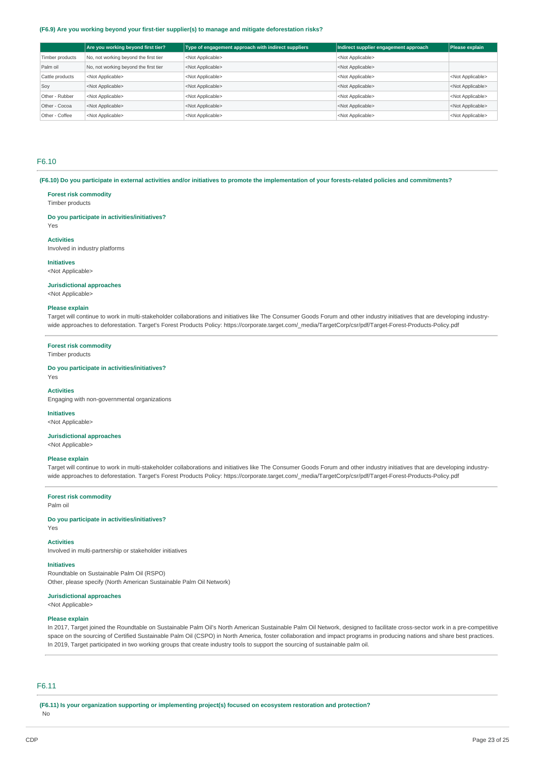#### **(F6.9) Are you working beyond your first-tier supplier(s) to manage and mitigate deforestation risks?**

|                 | Are you working beyond first tier?    | Type of engagement approach with indirect suppliers | Indirect supplier engagement approach | Please explain            |
|-----------------|---------------------------------------|-----------------------------------------------------|---------------------------------------|---------------------------|
| Timber products | No, not working beyond the first tier | <not applicable=""></not>                           | <not applicable=""></not>             |                           |
| Palm oil        | No, not working beyond the first tier | <not applicable=""></not>                           | <not applicable=""></not>             |                           |
| Cattle products | <not applicable=""></not>             | <not applicable=""></not>                           | <not applicable=""></not>             | <not applicable=""></not> |
| Soy             | <not applicable=""></not>             | <not applicable=""></not>                           | <not applicable=""></not>             | <not applicable=""></not> |
| Other - Rubber  | <not applicable=""></not>             | <not applicable=""></not>                           | <not applicable=""></not>             | <not applicable=""></not> |
| Other - Cocoa   | <not applicable=""></not>             | <not applicable=""></not>                           | <not applicable=""></not>             | <not applicable=""></not> |
| Other - Coffee  | <not applicable=""></not>             | <not applicable=""></not>                           | <not applicable=""></not>             | <not applicable=""></not> |

### F6.10

**(F6.10) Do you participate in external activities and/or initiatives to promote the implementation of your forests-related policies and commitments?** 

#### **Forest risk commodity**

Timber products

#### **Do you participate in activities/initiatives?**

Yes

#### **Activities**

Involved in industry platforms

### **Initiatives**

<Not Applicable>

### **Jurisdictional approaches**

<Not Applicable>

### **Please explain**

Target will continue to work in multi-stakeholder collaborations and initiatives like The Consumer Goods Forum and other industry initiatives that are developing industrywide approaches to deforestation. Target's Forest Products Policy: [https://corporate.target.com/\\_media/TargetCorp/csr/pdf/Target-Forest-Products-Policy.pdf](https://corporate.target.com/_media/TargetCorp/csr/pdf/Target-Forest-Products-Policy.pdf) 

#### **Forest risk commodity**

Timber products

**Do you participate in activities/initiatives?**  Yes

#### **Activities**

Engaging with non-governmental organizations

#### **Initiatives**

<Not Applicable>

### **Jurisdictional approaches**

<Not Applicable>

#### **Please explain**

Target will continue to work in multi-stakeholder collaborations and initiatives like The Consumer Goods Forum and other industry initiatives that are developing industrywide approaches to deforestation. Target's Forest Products Policy: [https://corporate.target.com/\\_media/TargetCorp/csr/pdf/Target-Forest-Products-Policy.pdf](https://corporate.target.com/_media/TargetCorp/csr/pdf/Target-Forest-Products-Policy.pdf) 

### **Forest risk commodity**

Palm oil

#### **Do you participate in activities/initiatives?**

Yes

#### **Activities**

Involved in multi-partnership or stakeholder initiatives

### **Initiatives**

Roundtable on Sustainable Palm Oil (RSPO) Other, please specify (North American Sustainable Palm Oil Network)

### **Jurisdictional approaches**

<Not Applicable>

### **Please explain**

In 2017, Target joined the Roundtable on Sustainable Palm Oil's North American Sustainable Palm Oil Network, designed to facilitate cross-sector work in a pre-competitive space on the sourcing of Certified Sustainable Palm Oil (CSPO) in North America, foster collaboration and impact programs in producing nations and share best practices. In 2019, Target participated in two working groups that create industry tools to support the sourcing of sustainable palm oil.

### F6.11

**(F6.11) Is your organization supporting or implementing project(s) focused on ecosystem restoration and protection?** 

No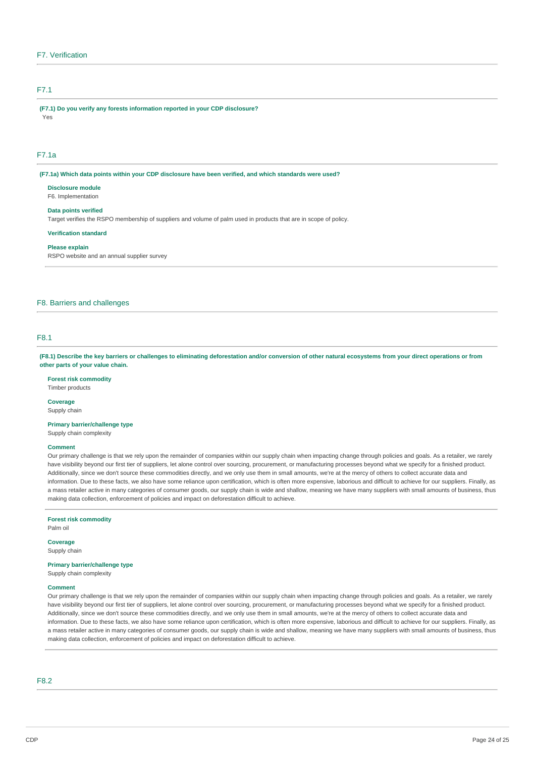### F7. Verification

### F7.1

**(F7.1) Do you verify any forests information reported in your CDP disclosure?**  Yes

# F7.1a

**(F7.1a) Which data points within your CDP disclosure have been verified, and which standards were used?** 

**Disclosure module**  F6. Implementation

### **Data points verified**

Target verifies the RSPO membership of suppliers and volume of palm used in products that are in scope of policy.

**Verification standard** 

#### **Please explain**

RSPO website and an annual supplier survey

### F8. Barriers and challenges

### F8.1

**(F8.1) Describe the key barriers or challenges to eliminating deforestation and/or conversion of other natural ecosystems from your direct operations or from other parts of your value chain.** 

### **Forest risk commodity**

Timber products

# **Coverage**

Supply chain

### **Primary barrier/challenge type**

Supply chain complexity

### **Comment**

Our primary challenge is that we rely upon the remainder of companies within our supply chain when impacting change through policies and goals. As a retailer, we rarely have visibility beyond our first tier of suppliers, let alone control over sourcing, procurement, or manufacturing processes beyond what we specify for a finished product. Additionally, since we don't source these commodities directly, and we only use them in small amounts, we're at the mercy of others to collect accurate data and information. Due to these facts, we also have some reliance upon certification, which is often more expensive, laborious and difficult to achieve for our suppliers. Finally, as a mass retailer active in many categories of consumer goods, our supply chain is wide and shallow, meaning we have many suppliers with small amounts of business, thus making data collection, enforcement of policies and impact on deforestation difficult to achieve.

#### **Forest risk commodity**

Palm oil

### **Coverage**

Supply chain

#### **Primary barrier/challenge type**

Supply chain complexity

#### **Comment**

Our primary challenge is that we rely upon the remainder of companies within our supply chain when impacting change through policies and goals. As a retailer, we rarely have visibility beyond our first tier of suppliers, let alone control over sourcing, procurement, or manufacturing processes beyond what we specify for a finished product. Additionally, since we don't source these commodities directly, and we only use them in small amounts, we're at the mercy of others to collect accurate data and information. Due to these facts, we also have some reliance upon certification, which is often more expensive, laborious and difficult to achieve for our suppliers. Finally, as a mass retailer active in many categories of consumer goods, our supply chain is wide and shallow, meaning we have many suppliers with small amounts of business, thus making data collection, enforcement of policies and impact on deforestation difficult to achieve.